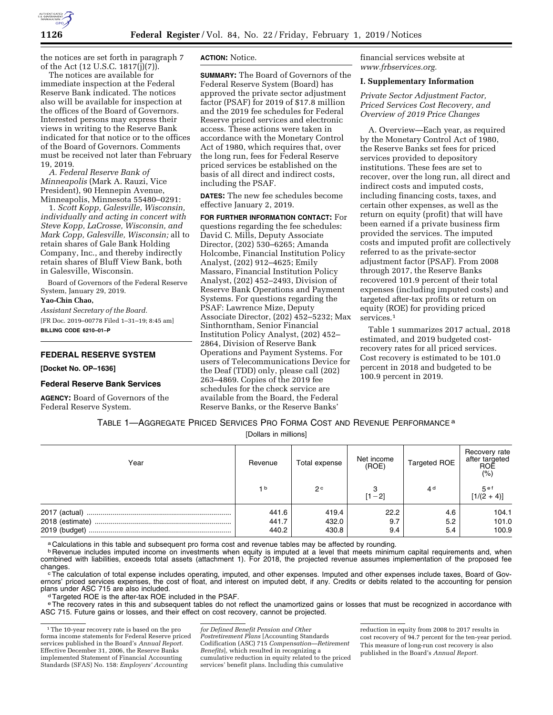

the notices are set forth in paragraph 7 of the Act (12 U.S.C. 1817 $(i)(7)$ ).

The notices are available for immediate inspection at the Federal Reserve Bank indicated. The notices also will be available for inspection at the offices of the Board of Governors. Interested persons may express their views in writing to the Reserve Bank indicated for that notice or to the offices of the Board of Governors. Comments must be received not later than February 19, 2019.

*A. Federal Reserve Bank of Minneapolis* (Mark A. Rauzi, Vice President), 90 Hennepin Avenue, Minneapolis, Minnesota 55480–0291:

1. *Scott Kopp, Galesville, Wisconsin, individually and acting in concert with Steve Kopp, LaCrosse, Wisconsin, and Mark Copp, Galesville, Wisconsin;* all to retain shares of Gale Bank Holding Company, Inc., and thereby indirectly retain shares of Bluff View Bank, both in Galesville, Wisconsin.

Board of Governors of the Federal Reserve System, January 29, 2019.

#### **Yao-Chin Chao,**

*Assistant Secretary of the Board.*  [FR Doc. 2019–00778 Filed 1–31–19; 8:45 am] **BILLING CODE 6210–01–P** 

#### **FEDERAL RESERVE SYSTEM**

**[Docket No. OP–1636]** 

#### **Federal Reserve Bank Services**

**AGENCY:** Board of Governors of the Federal Reserve System.

#### **ACTION:** Notice.

**SUMMARY:** The Board of Governors of the Federal Reserve System (Board) has approved the private sector adjustment factor (PSAF) for 2019 of \$17.8 million and the 2019 fee schedules for Federal Reserve priced services and electronic access. These actions were taken in accordance with the Monetary Control Act of 1980, which requires that, over the long run, fees for Federal Reserve priced services be established on the basis of all direct and indirect costs, including the PSAF.

**DATES:** The new fee schedules become effective January 2, 2019.

**FOR FURTHER INFORMATION CONTACT:** For questions regarding the fee schedules: David C. Mills, Deputy Associate Director, (202) 530–6265; Amanda Holcombe, Financial Institution Policy Analyst, (202) 912–4625; Emily Massaro, Financial Institution Policy Analyst, (202) 452–2493, Division of Reserve Bank Operations and Payment Systems. For questions regarding the PSAF: Lawrence Mize, Deputy Associate Director, (202) 452–5232; Max Sinthorntham, Senior Financial Institution Policy Analyst, (202) 452– 2864, Division of Reserve Bank Operations and Payment Systems. For users of Telecommunications Device for the Deaf (TDD) only, please call (202) 263–4869. Copies of the 2019 fee schedules for the check service are available from the Board, the Federal Reserve Banks, or the Reserve Banks'

financial services website at *[www.frbservices.org.](http://www.frbservices.org)* 

#### **I. Supplementary Information**

*Private Sector Adjustment Factor, Priced Services Cost Recovery, and Overview of 2019 Price Changes* 

A. Overview—Each year, as required by the Monetary Control Act of 1980, the Reserve Banks set fees for priced services provided to depository institutions. These fees are set to recover, over the long run, all direct and indirect costs and imputed costs, including financing costs, taxes, and certain other expenses, as well as the return on equity (profit) that will have been earned if a private business firm provided the services. The imputed costs and imputed profit are collectively referred to as the private-sector adjustment factor (PSAF). From 2008 through 2017, the Reserve Banks recovered 101.9 percent of their total expenses (including imputed costs) and targeted after-tax profits or return on equity (ROE) for providing priced services<sup>1</sup>

Table 1 summarizes 2017 actual, 2018 estimated, and 2019 budgeted costrecovery rates for all priced services. Cost recovery is estimated to be 101.0 percent in 2018 and budgeted to be 100.9 percent in 2019.

# TABLE 1—AGGREGATE PRICED SERVICES PRO FORMA COST AND REVENUE PERFORMANCE a

[Dollars in millions]

| Year                             | Revenue                 | Total expense           | Net income<br>(ROE) | Targeted ROE      | Recovery rate<br>after targeted<br>ROE<br>(%) |
|----------------------------------|-------------------------|-------------------------|---------------------|-------------------|-----------------------------------------------|
|                                  | 1 <sub>b</sub>          | 2 <sup>c</sup>          | $[1 - 2]$           | 4 <sup>d</sup>    | 5 <sup>ef</sup><br>$[1/(2 + 4)]$              |
| 2018 (estimate)<br>2019 (budget) | 441.6<br>441.7<br>440.2 | 419.4<br>432.0<br>430.8 | 22.2<br>9.7<br>9.4  | 4.6<br>5.2<br>5.4 | 104.1<br>101.0<br>100.9                       |

a Calculations in this table and subsequent pro forma cost and revenue tables may be affected by rounding.

**b** Revenue includes imputed income on investments when equity is imputed at a level that meets minimum capital requirements and, when combined with liabilities, exceeds total assets (attachment 1). For 2018, the projected revenue assumes implementation of the proposed fee

changes.<br><sup>c</sup>The calculation of total expense includes operating, imputed, and other expenses. Imputed and other expenses include taxes, Board of Governors' priced services expenses, the cost of float, and interest on imputed debt, if any. Credits or debits related to the accounting for pension plans under ASC 715 are also included.

d Targeted ROE is the after-tax ROE included in the PSAF.

e The recovery rates in this and subsequent tables do not reflect the unamortized gains or losses that must be recognized in accordance with ASC 715. Future gains or losses, and their effect on cost recovery, cannot be projected.

*for Defined Benefit Pension and Other Postretirement Plans* [Accounting Standards Codification (ASC) 715 *Compensation—Retirement Benefits*], which resulted in recognizing a cumulative reduction in equity related to the priced services' benefit plans. Including this cumulative

reduction in equity from 2008 to 2017 results in cost recovery of 94.7 percent for the ten-year period. This measure of long-run cost recovery is also published in the Board's *Annual Report.* 

<sup>&</sup>lt;sup>1</sup>The 10-year recovery rate is based on the pro forma income statements for Federal Reserve priced services published in the Board's *Annual Report.*  Effective December 31, 2006, the Reserve Banks implemented Statement of Financial Accounting Standards (SFAS) No. 158: *Employers' Accounting*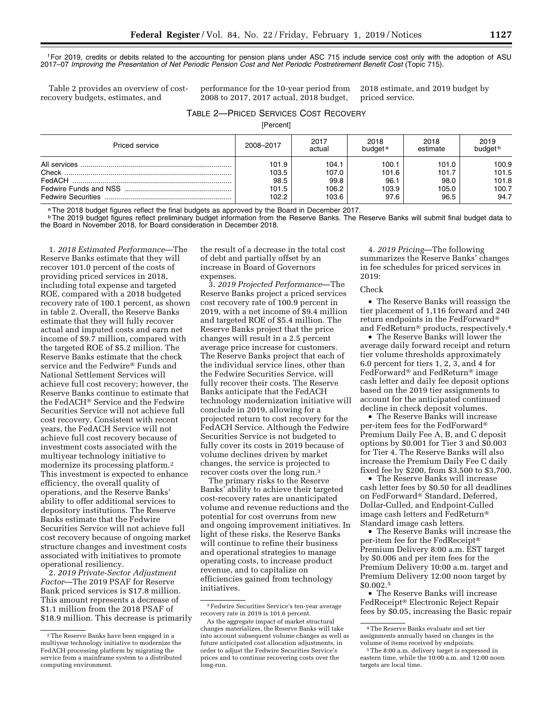fFor 2019, credits or debits related to the accounting for pension plans under ASC 715 include service cost only with the adoption of ASU 2017–07 *Improving the Presentation of Net Periodic Pension Cost and Net Periodic Postretirement Benefit Cost* (Topic 715).

Table 2 provides an overview of costrecovery budgets, estimates, and

performance for the 10-year period from 2008 to 2017, 2017 actual, 2018 budget,

2018 estimate, and 2019 budget by priced service.

# TABLE 2—PRICED SERVICES COST RECOVERY

[Percent]

| Priced service | 2008-2017 | 2017<br>actual | 2018<br>budget <sup>a</sup> | 2018<br>estimate | 2019<br>budget b |
|----------------|-----------|----------------|-----------------------------|------------------|------------------|
|                | 101.9     | 104.1          | 100.1                       | 101.0            | 100.9            |
|                | 103.5     | 107.0          | 101.6                       | 101.7            | 101.5            |
|                | 98.5      | 99.8           | 96.1                        | 98.0             | 101.8            |
|                | 101.5     | 106.2          | 103.9                       | 105.0            | 100.7            |
|                | 102.2     | 103.6          | 97.6                        | 96.5             | 94.7             |

a The 2018 budget figures reflect the final budgets as approved by the Board in December 2017.

**bThe 2019 budget figures reflect preliminary budget information from the Reserve Banks. The Reserve Banks will submit final budget data to** the Board in November 2018, for Board consideration in December 2018.

1. *2018 Estimated Performance*—The Reserve Banks estimate that they will recover 101.0 percent of the costs of providing priced services in 2018, including total expense and targeted ROE, compared with a 2018 budgeted recovery rate of 100.1 percent, as shown in table 2. Overall, the Reserve Banks estimate that they will fully recover actual and imputed costs and earn net income of \$9.7 million, compared with the targeted ROE of \$5.2 million. The Reserve Banks estimate that the check service and the Fedwire® Funds and National Settlement Services will achieve full cost recovery; however, the Reserve Banks continue to estimate that the FedACH® Service and the Fedwire Securities Service will not achieve full cost recovery. Consistent with recent years, the FedACH Service will not achieve full cost recovery because of investment costs associated with the multiyear technology initiative to modernize its processing platform.2 This investment is expected to enhance efficiency, the overall quality of operations, and the Reserve Banks' ability to offer additional services to depository institutions. The Reserve Banks estimate that the Fedwire Securities Service will not achieve full cost recovery because of ongoing market structure changes and investment costs associated with initiatives to promote operational resiliency.

2. *2019 Private-Sector Adjustment Factor*—The 2019 PSAF for Reserve Bank priced services is \$17.8 million. This amount represents a decrease of \$1.1 million from the 2018 PSAF of \$18.9 million. This decrease is primarily the result of a decrease in the total cost of debt and partially offset by an increase in Board of Governors expenses.

3. *2019 Projected Performance*—The Reserve Banks project a priced services cost recovery rate of 100.9 percent in 2019, with a net income of \$9.4 million and targeted ROE of \$5.4 million. The Reserve Banks project that the price changes will result in a 2.5 percent average price increase for customers. The Reserve Banks project that each of the individual service lines, other than the Fedwire Securities Service, will fully recover their costs. The Reserve Banks anticipate that the FedACH technology modernization initiative will conclude in 2019, allowing for a projected return to cost recovery for the FedACH Service. Although the Fedwire Securities Service is not budgeted to fully cover its costs in 2019 because of volume declines driven by market changes, the service is projected to recover costs over the long run.3

The primary risks to the Reserve Banks' ability to achieve their targeted cost-recovery rates are unanticipated volume and revenue reductions and the potential for cost overruns from new and ongoing improvement initiatives. In light of these risks, the Reserve Banks will continue to refine their business and operational strategies to manage operating costs, to increase product revenue, and to capitalize on efficiencies gained from technology initiatives.

4. *2019 Pricing*—The following summarizes the Reserve Banks' changes in fee schedules for priced services in 2019:

#### Check

• The Reserve Banks will reassign the tier placement of 1,116 forward and 240 return endpoints in the FedForward® and FedReturn® products, respectively.4

• The Reserve Banks will lower the average daily forward receipt and return tier volume thresholds approximately 6.0 percent for tiers 1, 2, 3, and 4 for FedForward® and FedReturn® image cash letter and daily fee deposit options based on the 2019 tier assignments to account for the anticipated continued decline in check deposit volumes.

• The Reserve Banks will increase per-item fees for the FedForward® Premium Daily Fee A, B, and C deposit options by \$0.001 for Tier 3 and \$0.003 for Tier 4. The Reserve Banks will also increase the Premium Daily Fee C daily fixed fee by \$200, from \$3,500 to \$3,700.

• The Reserve Banks will increase cash letter fees by \$0.50 for all deadlines on FedForward® Standard, Deferred, Dollar-Culled, and Endpoint-Culled image cash letters and FedReturn® Standard image cash letters.

• The Reserve Banks will increase the per-item fee for the FedReceipt® Premium Delivery 8:00 a.m. EST target by \$0.006 and per item fees for the Premium Delivery 10:00 a.m. target and Premium Delivery 12:00 noon target by \$0.002.5

• The Reserve Banks will increase FedReceipt® Electronic Reject Repair fees by \$0.05, increasing the Basic repair

<sup>2</sup>The Reserve Banks have been engaged in a multiyear technology initiative to modernize the FedACH processing platform by migrating the service from a mainframe system to a distributed computing environment.

<sup>3</sup>Fedwire Securities Service's ten-year average recovery rate in 2019 is 101.6 percent.

As the aggregate impact of market structural changes materializes, the Reserve Banks will take into account subsequent volume changes as well as future anticipated cost allocation adjustments, in order to adjust the Fedwire Securities Service's prices and to continue recovering costs over the long-run.

<sup>4</sup>The Reserve Banks evaluate and set tier assignments annually based on changes in the

<sup>&</sup>lt;sup>5</sup> The 8:00 a.m. delivery target is expressed in eastern time, while the 10:00 a.m. and 12:00 noon targets are local time.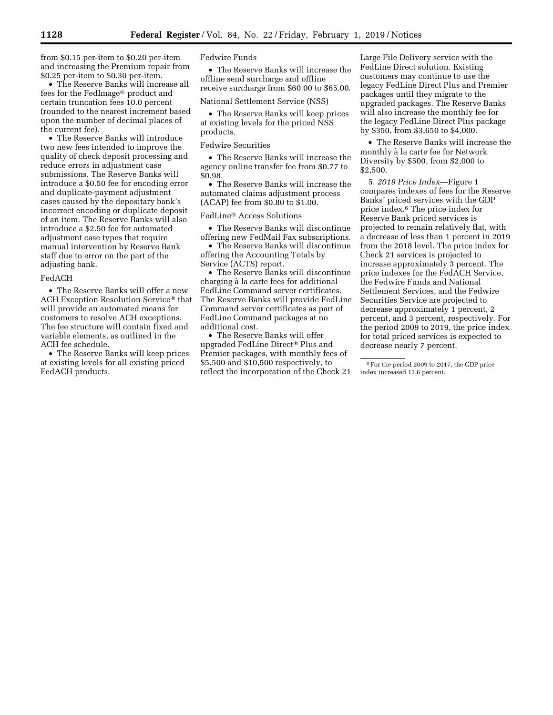from \$0.15 per-item to \$0.20 per-item and increasing the Premium repair from \$0.25 per-item to \$0.30 per-item.

• The Reserve Banks will increase all fees for the FedImage® product and certain truncation fees 10.0 percent (rounded to the nearest increment based upon the number of decimal places of the current fee).

• The Reserve Banks will introduce two new fees intended to improve the quality of check deposit processing and reduce errors in adjustment case submissions. The Reserve Banks will introduce a \$0.50 fee for encoding error and duplicate-payment adjustment cases caused by the depositary bank's incorrect encoding or duplicate deposit of an item. The Reserve Banks will also introduce a \$2.50 fee for automated adjustment case types that require manual intervention by Reserve Bank staff due to error on the part of the adjusting bank.

#### FedACH

• The Reserve Banks will offer a new ACH Exception Resolution Service® that will provide an automated means for customers to resolve ACH exceptions. The fee structure will contain fixed and variable elements, as outlined in the ACH fee schedule.

• The Reserve Banks will keep prices at existing levels for all existing priced FedACH products.

Fedwire Funds

• The Reserve Banks will increase the offline send surcharge and offline receive surcharge from \$60.00 to \$65.00.

National Settlement Service (NSS)

• The Reserve Banks will keep prices at existing levels for the priced NSS products.

#### Fedwire Securities

• The Reserve Banks will increase the agency online transfer fee from \$0.77 to \$0.98.

• The Reserve Banks will increase the automated claims adjustment process (ACAP) fee from \$0.80 to \$1.00.

#### FedLine® Access Solutions

• The Reserve Banks will discontinue offering new FedMail Fax subscriptions.

• The Reserve Banks will discontinue offering the Accounting Totals by Service (ACTS) report.

• The Reserve Banks will discontinue charging à la carte fees for additional FedLine Command server certificates. The Reserve Banks will provide FedLine Command server certificates as part of FedLine Command packages at no additional cost.

• The Reserve Banks will offer upgraded FedLine Direct® Plus and Premier packages, with monthly fees of \$5,500 and \$10,500 respectively, to reflect the incorporation of the Check 21

Large File Delivery service with the FedLine Direct solution. Existing customers may continue to use the legacy FedLine Direct Plus and Premier packages until they migrate to the upgraded packages. The Reserve Banks will also increase the monthly fee for the legacy FedLine Direct Plus package by \$350, from \$3,650 to \$4,000.

• The Reserve Banks will increase the monthly à la carte fee for Network Diversity by \$500, from \$2,000 to \$2,500.

5. *2019 Price Index*—Figure 1 compares indexes of fees for the Reserve Banks' priced services with the GDP price index.6 The price index for Reserve Bank priced services is projected to remain relatively flat, with a decrease of less than 1 percent in 2019 from the 2018 level. The price index for Check 21 services is projected to increase approximately 3 percent. The price indexes for the FedACH Service, the Fedwire Funds and National Settlement Services, and the Fedwire Securities Service are projected to decrease approximately 1 percent, 2 percent, and 3 percent, respectively. For the period 2009 to 2019, the price index for total priced services is expected to decrease nearly 7 percent.

<sup>6</sup>For the period 2009 to 2017, the GDP price index increased 13.6 percent.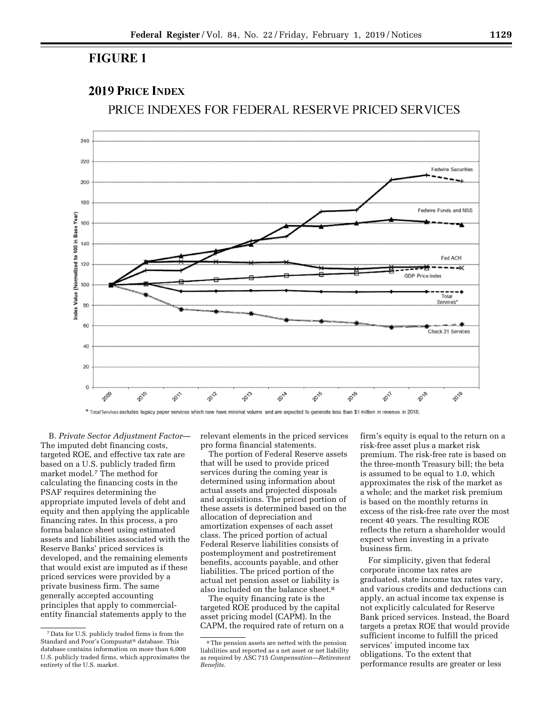# **FIGURE 1**

# **2019 PRICE INDEX**

PRICE INDEXES FOR FEDERAL RESERVE PRICED SERVICES



\* Total Services excludes legacy paper services which now have minimal volume and are expected to generate less than \$1 million in revenue in 2018

B. *Private Sector Adjustment Factor*— The imputed debt financing costs, targeted ROE, and effective tax rate are based on a U.S. publicly traded firm market model.7 The method for calculating the financing costs in the PSAF requires determining the appropriate imputed levels of debt and equity and then applying the applicable financing rates. In this process, a pro forma balance sheet using estimated assets and liabilities associated with the Reserve Banks' priced services is developed, and the remaining elements that would exist are imputed as if these priced services were provided by a private business firm. The same generally accepted accounting principles that apply to commercialentity financial statements apply to the

relevant elements in the priced services pro forma financial statements.

The portion of Federal Reserve assets that will be used to provide priced services during the coming year is determined using information about actual assets and projected disposals and acquisitions. The priced portion of these assets is determined based on the allocation of depreciation and amortization expenses of each asset class. The priced portion of actual Federal Reserve liabilities consists of postemployment and postretirement benefits, accounts payable, and other liabilities. The priced portion of the actual net pension asset or liability is also included on the balance sheet.8

The equity financing rate is the targeted ROE produced by the capital asset pricing model (CAPM). In the CAPM, the required rate of return on a

firm's equity is equal to the return on a risk-free asset plus a market risk premium. The risk-free rate is based on the three-month Treasury bill; the beta is assumed to be equal to 1.0, which approximates the risk of the market as a whole; and the market risk premium is based on the monthly returns in excess of the risk-free rate over the most recent 40 years. The resulting ROE reflects the return a shareholder would expect when investing in a private business firm.

For simplicity, given that federal corporate income tax rates are graduated, state income tax rates vary, and various credits and deductions can apply, an actual income tax expense is not explicitly calculated for Reserve Bank priced services. Instead, the Board targets a pretax ROE that would provide sufficient income to fulfill the priced services' imputed income tax obligations. To the extent that performance results are greater or less

<sup>7</sup> Data for U.S. publicly traded firms is from the Standard and Poor's Compustat® database. This database contains information on more than 6,000 U.S. publicly traded firms, which approximates the entirety of the U.S. market.

<sup>8</sup>The pension assets are netted with the pension liabilities and reported as a net asset or net liability as required by ASC 715 *Compensation—Retirement Benefits.*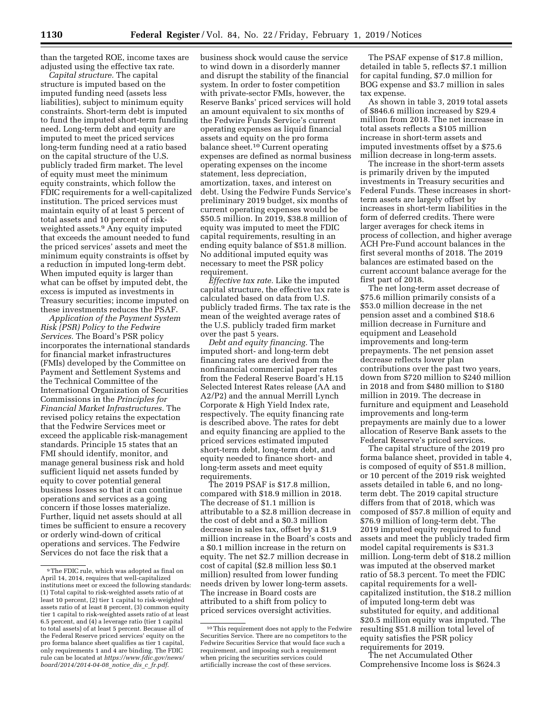than the targeted ROE, income taxes are adjusted using the effective tax rate.

*Capital structure.* The capital structure is imputed based on the imputed funding need (assets less liabilities), subject to minimum equity constraints. Short-term debt is imputed to fund the imputed short-term funding need. Long-term debt and equity are imputed to meet the priced services long-term funding need at a ratio based on the capital structure of the U.S. publicly traded firm market. The level of equity must meet the minimum equity constraints, which follow the FDIC requirements for a well-capitalized institution. The priced services must maintain equity of at least 5 percent of total assets and 10 percent of riskweighted assets.9 Any equity imputed that exceeds the amount needed to fund the priced services' assets and meet the minimum equity constraints is offset by a reduction in imputed long-term debt. When imputed equity is larger than what can be offset by imputed debt, the excess is imputed as investments in Treasury securities; income imputed on these investments reduces the PSAF.

*Application of the Payment System Risk (PSR) Policy to the Fedwire Services.* The Board's PSR policy incorporates the international standards for financial market infrastructures (FMIs) developed by the Committee on Payment and Settlement Systems and the Technical Committee of the International Organization of Securities Commissions in the *Principles for Financial Market Infrastructures.* The revised policy retains the expectation that the Fedwire Services meet or exceed the applicable risk-management standards. Principle 15 states that an FMI should identify, monitor, and manage general business risk and hold sufficient liquid net assets funded by equity to cover potential general business losses so that it can continue operations and services as a going concern if those losses materialize. Further, liquid net assets should at all times be sufficient to ensure a recovery or orderly wind-down of critical operations and services. The Fedwire Services do not face the risk that a

business shock would cause the service to wind down in a disorderly manner and disrupt the stability of the financial system. In order to foster competition with private-sector FMIs, however, the Reserve Banks' priced services will hold an amount equivalent to six months of the Fedwire Funds Service's current operating expenses as liquid financial assets and equity on the pro forma balance sheet.10 Current operating expenses are defined as normal business operating expenses on the income statement, less depreciation, amortization, taxes, and interest on debt. Using the Fedwire Funds Service's preliminary 2019 budget, six months of current operating expenses would be \$50.5 million. In 2019, \$38.8 million of equity was imputed to meet the FDIC capital requirements, resulting in an ending equity balance of \$51.8 million. No additional imputed equity was necessary to meet the PSR policy requirement.

*Effective tax rate.* Like the imputed capital structure, the effective tax rate is calculated based on data from U.S. publicly traded firms. The tax rate is the mean of the weighted average rates of the U.S. publicly traded firm market over the past 5 years.

*Debt and equity financing.* The imputed short- and long-term debt financing rates are derived from the nonfinancial commercial paper rates from the Federal Reserve Board's H.15 Selected Interest Rates release (AA and A2/P2) and the annual Merrill Lynch Corporate & High Yield Index rate, respectively. The equity financing rate is described above. The rates for debt and equity financing are applied to the priced services estimated imputed short-term debt, long-term debt, and equity needed to finance short- and long-term assets and meet equity requirements.

The 2019 PSAF is \$17.8 million, compared with \$18.9 million in 2018. The decrease of \$1.1 million is attributable to a \$2.8 million decrease in the cost of debt and a \$0.3 million decrease in sales tax, offset by a \$1.9 million increase in the Board's costs and a \$0.1 million increase in the return on equity. The net \$2.7 million decrease in cost of capital (\$2.8 million less \$0.1 million) resulted from lower funding needs driven by lower long-term assets. The increase in Board costs are attributed to a shift from policy to priced services oversight activities.

The PSAF expense of \$17.8 million, detailed in table 5, reflects \$7.1 million for capital funding, \$7.0 million for BOG expense and \$3.7 million in sales tax expense.

As shown in table 3, 2019 total assets of \$846.6 million increased by \$29.4 million from 2018. The net increase in total assets reflects a \$105 million increase in short-term assets and imputed investments offset by a \$75.6 million decrease in long-term assets.

The increase in the short-term assets is primarily driven by the imputed investments in Treasury securities and Federal Funds. These increases in shortterm assets are largely offset by increases in short-term liabilities in the form of deferred credits. There were larger averages for check items in process of collection, and higher average ACH Pre-Fund account balances in the first several months of 2018. The 2019 balances are estimated based on the current account balance average for the first part of 2018.

The net long-term asset decrease of \$75.6 million primarily consists of a \$53.0 million decrease in the net pension asset and a combined \$18.6 million decrease in Furniture and equipment and Leasehold improvements and long-term prepayments. The net pension asset decrease reflects lower plan contributions over the past two years, down from \$720 million to \$240 million in 2018 and from \$480 million to \$180 million in 2019. The decrease in furniture and equipment and Leasehold improvements and long-term prepayments are mainly due to a lower allocation of Reserve Bank assets to the Federal Reserve's priced services.

The capital structure of the 2019 pro forma balance sheet, provided in table 4, is composed of equity of \$51.8 million, or 10 percent of the 2019 risk weighted assets detailed in table 6, and no longterm debt. The 2019 capital structure differs from that of 2018, which was composed of \$57.8 million of equity and \$76.9 million of long-term debt. The 2019 imputed equity required to fund assets and meet the publicly traded firm model capital requirements is \$31.3 million. Long-term debt of \$18.2 million was imputed at the observed market ratio of 58.3 percent. To meet the FDIC capital requirements for a wellcapitalized institution, the \$18.2 million of imputed long-term debt was substituted for equity, and additional \$20.5 million equity was imputed. The resulting \$51.8 million total level of equity satisfies the PSR policy requirements for 2019.

The net Accumulated Other Comprehensive Income loss is \$624.3

<sup>9</sup>The FDIC rule, which was adopted as final on April 14, 2014, requires that well-capitalized institutions meet or exceed the following standards: (1) Total capital to risk-weighted assets ratio of at least 10 percent, (2) tier 1 capital to risk-weighted assets ratio of at least 8 percent, (3) common equity tier 1 capital to risk-weighted assets ratio of at least 6.5 percent, and (4) a leverage ratio (tier 1 capital to total assets) of at least 5 percent. Because all of the Federal Reserve priced services' equity on the pro forma balance sheet qualifies as tier 1 capital, only requirements 1 and 4 are binding. The FDIC rule can be located at *[https://www.fdic.gov/news/](https://www.fdic.gov/news/board/2014/2014-04-08_notice_dis_c_fr.pdf)  [board/2014/2014-04-08](https://www.fdic.gov/news/board/2014/2014-04-08_notice_dis_c_fr.pdf)*\_*notice*\_*dis*\_*c*\_*fr.pdf*.

<sup>10</sup>This requirement does not apply to the Fedwire Securities Service. There are no competitors to the Fedwire Securities Service that would face such a requirement, and imposing such a requirement when pricing the securities services could artificially increase the cost of these services.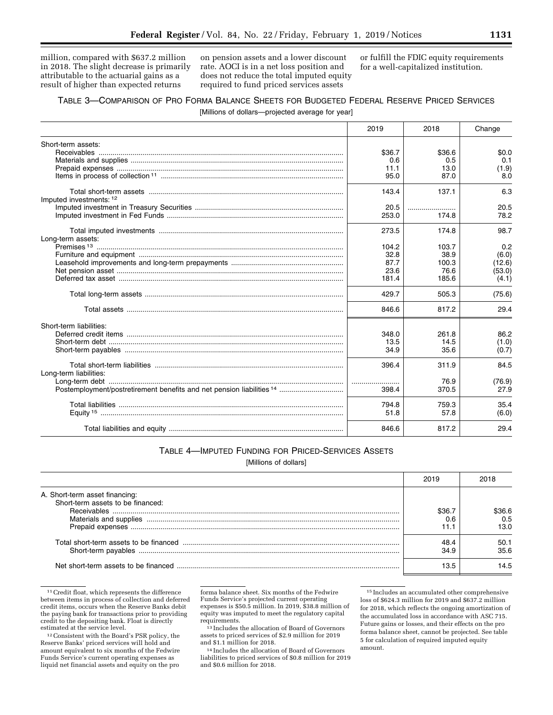million, compared with \$637.2 million in 2018. The slight decrease is primarily attributable to the actuarial gains as a result of higher than expected returns

on pension assets and a lower discount rate. AOCI is in a net loss position and does not reduce the total imputed equity required to fund priced services assets

or fulfill the FDIC equity requirements for a well-capitalized institution.

# TABLE 3—COMPARISON OF PRO FORMA BALANCE SHEETS FOR BUDGETED FEDERAL RESERVE PRICED SERVICES

[Millions of dollars—projected average for year]

|                         | 2019   | 2018   | Change |
|-------------------------|--------|--------|--------|
| Short-term assets:      |        |        |        |
|                         | \$36.7 | \$36.6 | \$0.0  |
|                         | 0.6    | 0.5    | 0.1    |
|                         | 11.1   | 13.0   | (1.9)  |
|                         | 95.0   | 87.0   | 8.0    |
|                         | 143.4  | 137.1  | 6.3    |
| Imputed investments: 12 |        |        |        |
|                         | 20.5   |        | 20.5   |
|                         | 253.0  | 174.8  | 78.2   |
|                         | 273.5  | 174.8  | 98.7   |
| Long-term assets:       |        |        |        |
|                         | 104.2  | 103.7  | 0.2    |
|                         | 32.8   | 38.9   | (6.0)  |
|                         | 87.7   | 100.3  | (12.6) |
|                         | 23.6   | 76.6   | (53.0) |
|                         | 181.4  | 185.6  | (4.1)  |
|                         | 429.7  | 505.3  | (75.6) |
|                         | 846.6  | 817.2  | 29.4   |
| Short-term liabilities: |        |        |        |
|                         | 348.0  | 261.8  | 86.2   |
|                         | 13.5   | 14.5   | (1.0)  |
|                         | 34.9   | 35.6   | (0.7)  |
| Long-term liabilities:  | 396.4  | 311.9  | 84.5   |
|                         |        | 76.9   | (76.9) |
|                         | 398.4  | 370.5  | 27.9   |
|                         |        |        |        |
|                         | 794.8  | 759.3  | 35.4   |
|                         | 51.8   | 57.8   | (6.0)  |
|                         | 846.6  | 817.2  | 29.4   |

## TABLE 4—IMPUTED FUNDING FOR PRICED-SERVICES ASSETS

[Millions of dollars]

|                                                                     | 2019         | 2018                  |
|---------------------------------------------------------------------|--------------|-----------------------|
| A. Short-term asset financing:<br>Short-term assets to be financed: |              |                       |
|                                                                     | \$36<br>، ۱  | 6.36 R<br>0.5<br>13.0 |
| Short-term payables                                                 | 48.4<br>34.9 | 50.1<br>35.6          |
| Net short-term assets to be financed                                | 13.5         | 14.5                  |

<sup>11</sup>Credit float, which represents the difference between items in process of collection and deferred credit items, occurs when the Reserve Banks debit the paying bank for transactions prior to providing credit to the depositing bank. Float is directly estimated at the service level.

forma balance sheet. Six months of the Fedwire Funds Service's projected current operating expenses is \$50.5 million. In 2019, \$38.8 million of equity was imputed to meet the regulatory capital requirements. 13 Includes the allocation of Board of Governors

assets to priced services of \$2.9 million for 2019 and \$1.1 million for 2018.

14 Includes the allocation of Board of Governors liabilities to priced services of \$0.8 million for 2019 and \$0.6 million for 2018.

15 Includes an accumulated other comprehensive loss of \$624.3 million for 2019 and \$637.2 million for 2018, which reflects the ongoing amortization of the accumulated loss in accordance with ASC 715. Future gains or losses, and their effects on the pro forma balance sheet, cannot be projected. See table 5 for calculation of required imputed equity amount.

<sup>12</sup>Consistent with the Board's PSR policy, the Reserve Banks' priced services will hold and amount equivalent to six months of the Fedwire Funds Service's current operating expenses as liquid net financial assets and equity on the pro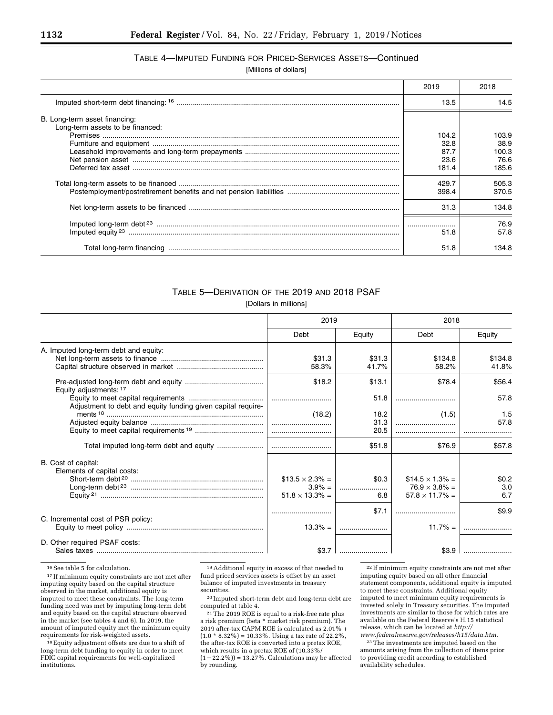# TABLE 4—IMPUTED FUNDING FOR PRICED-SERVICES ASSETS—Continued

[Millions of dollars]

|                                                                   | 2019                                   | 2018                                    |
|-------------------------------------------------------------------|----------------------------------------|-----------------------------------------|
|                                                                   | 13.5                                   | 14.5                                    |
| B. Long-term asset financing:<br>Long-term assets to be financed: |                                        |                                         |
|                                                                   | 104.2<br>32.8<br>87.7<br>23.6<br>181.4 | 103.9<br>38.9<br>100.3<br>76.6<br>185.6 |
|                                                                   | 429.7<br>398.4                         | 505.3<br>370.5                          |
|                                                                   | 31.3                                   | 134.8                                   |
|                                                                   | 51.8                                   | 76.9<br>57.8                            |
|                                                                   | 51.8                                   | 134.8                                   |

## TABLE 5—DERIVATION OF THE 2019 AND 2018 PSAF

[Dollars in millions]

|                                                              | 2019                   |        | 2018                   |         |
|--------------------------------------------------------------|------------------------|--------|------------------------|---------|
|                                                              | Debt                   | Equity | Debt                   | Equity  |
| A. Imputed long-term debt and equity:                        |                        |        |                        |         |
|                                                              | \$31.3                 | \$31.3 | \$134.8                | \$134.8 |
|                                                              | 58.3%                  | 41.7%  | 58.2%                  | 41.8%   |
| Equity adjustments: 17                                       | \$18.2                 | \$13.1 | \$78.4                 | \$56.4  |
|                                                              |                        | 51.8   |                        | 57.8    |
| Adjustment to debt and equity funding given capital require- |                        |        |                        |         |
|                                                              | (18.2)                 | 18.2   | (1.5)                  | 1.5     |
|                                                              |                        | 31.3   |                        | 57.8    |
|                                                              |                        | 20.5   |                        |         |
|                                                              |                        |        |                        |         |
|                                                              |                        | \$51.8 | \$76.9                 | \$57.8  |
| B. Cost of capital:                                          |                        |        |                        |         |
| Elements of capital costs:                                   |                        |        |                        |         |
|                                                              | $$13.5 \times 2.3\% =$ | \$0.3  | $$14.5 \times 1.3\% =$ | \$0.2\$ |
|                                                              | $3.9\% =$              |        | $76.9 \times 3.8\% =$  | 3.0     |
|                                                              | $51.8 \times 13.3\% =$ | 6.8    | $57.8 \times 11.7\% =$ | 6.7     |
|                                                              |                        |        |                        |         |
|                                                              |                        | \$7.1  |                        | \$9.9   |
| C. Incremental cost of PSR policy:                           |                        |        |                        |         |
|                                                              | $13.3\% =$             |        | $11.7\% =$             |         |
|                                                              |                        |        |                        |         |
| D. Other required PSAF costs:                                |                        |        |                        |         |
|                                                              |                        |        |                        |         |

 $^{\rm 16}$  See table 5 for calculation.

17 If minimum equity constraints are not met after imputing equity based on the capital structure observed in the market, additional equity is imputed to meet these constraints. The long-term funding need was met by imputing long-term debt and equity based on the capital structure observed in the market (see tables 4 and 6). In 2019, the amount of imputed equity met the minimum equity requirements for risk-weighted assets.

18Equity adjustment offsets are due to a shift of long-term debt funding to equity in order to meet FDIC capital requirements for well-capitalized institutions.

 $^{\rm 19}\,$  Additional equity in excess of that needed to fund priced services assets is offset by an asset balance of imputed investments in treasury securities.

20 Imputed short-term debt and long-term debt are computed at table 4.

21The 2019 ROE is equal to a risk-free rate plus a risk premium (beta \* market risk premium). The 2019 after-tax CAPM ROE is calculated as 2.01% +  $(1.0 * 8.32\%) = 10.33\%$ . Using a tax rate of 22.2%, the after-tax ROE is converted into a pretax ROE, which results in a pretax ROE of (10.33%/  $(1-22.2\%)$  = 13.27%. Calculations may be affected

by rounding.

 $\rm ^{22}$  If minimum equity constraints are not met after imputing equity based on all other financial statement components, additional equity is imputed to meet these constraints. Additional equity imputed to meet minimum equity requirements is invested solely in Treasury securities. The imputed investments are similar to those for which rates are available on the Federal Reserve's H.15 statistical release, which can be located at *[http://](http://www.federalreserve.gov/releases/h15/data.htm) [www.federalreserve.gov/releases/h15/data.htm.](http://www.federalreserve.gov/releases/h15/data.htm)* 

23The investments are imputed based on the amounts arising from the collection of items prior to providing credit according to established availability schedules.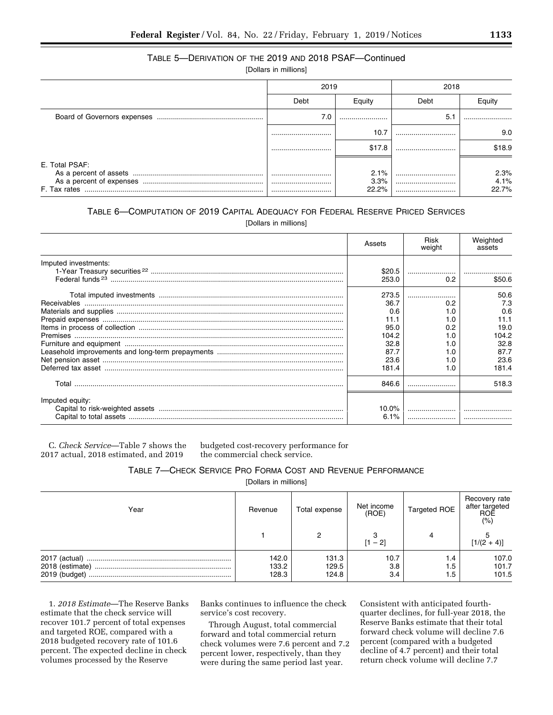## TABLE 5—DERIVATION OF THE 2019 AND 2018 PSAF—Continued

[Dollars in millions]

|                                | 2019     |                       | 2018 |                       |
|--------------------------------|----------|-----------------------|------|-----------------------|
|                                | Debt     | Equity                | Debt | Eauity                |
|                                | 7.0      |                       | 5.1  |                       |
|                                |          | 10.7                  |      | 9.0                   |
|                                |          | \$17.8                |      | \$18.9                |
| E. Total PSAF:<br>F. Tax rates | <br><br> | 2.1%<br>3.3%<br>22.2% | <br> | 2.3%<br>4.1%<br>22.7% |

## TABLE 6—COMPUTATION OF 2019 CAPITAL ADEQUACY FOR FEDERAL RESERVE PRICED SERVICES [Dollars in millions]

|                      | Assets | Risk<br>weight | Weighted<br>assets |
|----------------------|--------|----------------|--------------------|
| Imputed investments: |        |                |                    |
|                      | \$20.5 |                |                    |
|                      | 253.0  | 0.2            | \$50.6             |
|                      | 273.5  |                | 50.6               |
|                      | 36.7   | 0.2            | 7.3                |
|                      | 0.6    | .0             | 0.6                |
|                      | 11.1   | 1.0            | 11.1               |
|                      | 95.0   | 0.2            | 19.0               |
|                      | 104.2  | $\Omega$       | 104.2              |
|                      | 32.8   | 0. ا           | 32.8               |
|                      | 87.7   | .0             | 87.7               |
|                      | 23.6   | 1.0            | 23.6               |
|                      | 181.4  | 1.0            | 181.4              |
| Total                | 846.6  |                | 518.3              |
| Imputed equity:      |        |                |                    |
|                      | 10.0%  |                |                    |
|                      | 6.1%   |                |                    |
|                      |        |                |                    |

C. *Check Service*—Table 7 shows the 2017 actual, 2018 estimated, and 2019

budgeted cost-recovery performance for the commercial check service.

TABLE 7—CHECK SERVICE PRO FORMA COST AND REVENUE PERFORMANCE

[Dollars in millions]

| Year | Revenue                 | Total expense           | Net income<br>(ROE) | <b>Targeted ROE</b> | Recovery rate<br>after targeted<br>ROE<br>(% ) |
|------|-------------------------|-------------------------|---------------------|---------------------|------------------------------------------------|
|      |                         |                         | [1 – 2]             |                     | $[1/(2 + 4)]$                                  |
|      | 142.0<br>133.2<br>128.3 | 131.3<br>129.5<br>124.8 | 10.7<br>3.8<br>3.4  | 4.۱<br>1.5<br>1.5   | 107.0<br>101.7<br>101.5                        |

1. *2018 Estimate*—The Reserve Banks estimate that the check service will recover 101.7 percent of total expenses and targeted ROE, compared with a 2018 budgeted recovery rate of 101.6 percent. The expected decline in check volumes processed by the Reserve

Banks continues to influence the check service's cost recovery.

Through August, total commercial forward and total commercial return check volumes were 7.6 percent and 7.2 percent lower, respectively, than they were during the same period last year.

Consistent with anticipated fourthquarter declines, for full-year 2018, the Reserve Banks estimate that their total forward check volume will decline 7.6 percent (compared with a budgeted decline of 4.7 percent) and their total return check volume will decline 7.7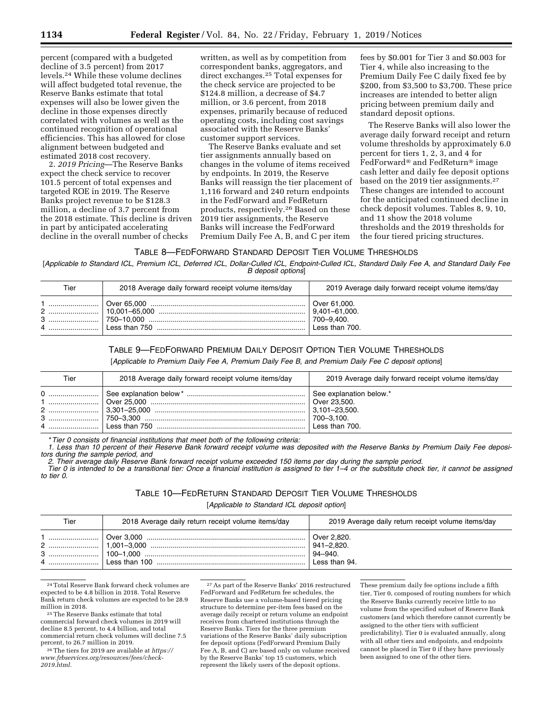percent (compared with a budgeted decline of 3.5 percent) from 2017 levels.24 While these volume declines will affect budgeted total revenue, the Reserve Banks estimate that total expenses will also be lower given the decline in those expenses directly correlated with volumes as well as the continued recognition of operational efficiencies. This has allowed for close alignment between budgeted and estimated 2018 cost recovery.

2. *2019 Pricing*—The Reserve Banks expect the check service to recover 101.5 percent of total expenses and targeted ROE in 2019. The Reserve Banks project revenue to be \$128.3 million, a decline of 3.7 percent from the 2018 estimate. This decline is driven in part by anticipated accelerating decline in the overall number of checks

written, as well as by competition from correspondent banks, aggregators, and direct exchanges.25 Total expenses for the check service are projected to be \$124.8 million, a decrease of \$4.7 million, or 3.6 percent, from 2018 expenses, primarily because of reduced operating costs, including cost savings associated with the Reserve Banks' customer support services.

The Reserve Banks evaluate and set tier assignments annually based on changes in the volume of items received by endpoints. In 2019, the Reserve Banks will reassign the tier placement of 1,116 forward and 240 return endpoints in the FedForward and FedReturn products, respectively.26 Based on these 2019 tier assignments, the Reserve Banks will increase the FedForward Premium Daily Fee A, B, and C per item

fees by \$0.001 for Tier 3 and \$0.003 for Tier 4, while also increasing to the Premium Daily Fee C daily fixed fee by \$200, from \$3,500 to \$3,700. These price increases are intended to better align pricing between premium daily and standard deposit options.

The Reserve Banks will also lower the average daily forward receipt and return volume thresholds by approximately 6.0 percent for tiers 1, 2, 3, and 4 for FedForward® and FedReturn® image cash letter and daily fee deposit options based on the 2019 tier assignments.27 These changes are intended to account for the anticipated continued decline in check deposit volumes. Tables 8, 9, 10, and 11 show the 2018 volume thresholds and the 2019 thresholds for the four tiered pricing structures.

### TABLE 8—FEDFORWARD STANDARD DEPOSIT TIER VOLUME THRESHOLDS

[Applicable to Standard ICL, Premium ICL, Deferred ICL, Dollar-Culled ICL, Endpoint-Culled ICL, Standard Daily Fee A, and Standard Daily Fee *B deposit options*]

| Tier | 2018 Average daily forward receipt volume items/day | 2019 Average daily forward receipt volume items/day                     |
|------|-----------------------------------------------------|-------------------------------------------------------------------------|
|      |                                                     | Over 61,000.<br>$ 9,401 - 61,000.$<br>$ 700 - 9.400 $<br>Less than 700. |

#### TABLE 9—FEDFORWARD PREMIUM DAILY DEPOSIT OPTION TIER VOLUME THRESHOLDS

[*Applicable to Premium Daily Fee A, Premium Daily Fee B, and Premium Daily Fee C deposit options*]

| Tier | 2018 Average daily forward receipt volume items/day | 2019 Average daily forward receipt volume items/day                     |
|------|-----------------------------------------------------|-------------------------------------------------------------------------|
|      |                                                     | See explanation below.*<br>Over 23.500.<br>700-3,100.<br>Less than 700. |

*\* Tier 0 consists of financial institutions that meet both of the following criteria:* 

*1. Less than 10 percent of their Reserve Bank forward receipt volume was deposited with the Reserve Banks by Premium Daily Fee depositors during the sample period, and* 

*2. Their average daily Reserve Bank forward receipt volume exceeded 150 items per day during the sample period.* 

*Tier 0 is intended to be a transitional tier: Once a financial institution is assigned to tier 1–4 or the substitute check tier, it cannot be assigned to tier 0.* 

## TABLE 10—FEDRETURN STANDARD DEPOSIT TIER VOLUME THRESHOLDS [*Applicable to Standard ICL deposit option*]

| Tier | 2018 Average daily return receipt volume items/day | 2019 Average daily return receipt volume items/day |
|------|----------------------------------------------------|----------------------------------------------------|
|      |                                                    | $94 - 940.$<br>Less than $94.$                     |

24Total Reserve Bank forward check volumes are expected to be 4.8 billion in 2018. Total Reserve Bank return check volumes are expected to be 28.9

 $\rm ^{25}$  The Reserve Banks estimate that total commercial forward check volumes in 2019 will decline 8.5 percent, to 4.4 billion, and total commercial return check volumes will decline 7.5<br>percent, to 26.7 million in 2019.

<sup>26</sup> The tiers for 2019 are available at *[https://](https://www.frbservices.org/resources/fees/check-2019.html) [www.frbservices.org/resources/fees/check-](https://www.frbservices.org/resources/fees/check-2019.html)[2019.html.](https://www.frbservices.org/resources/fees/check-2019.html)* 

27As part of the Reserve Banks' 2016 restructured FedForward and FedReturn fee schedules, the Reserve Banks use a volume-based tiered pricing structure to determine per-item fees based on the average daily receipt or return volume an endpoint receives from chartered institutions through the Reserve Banks. Tiers for the three premium variations of the Reserve Banks' daily subscription fee deposit options (FedForward Premium Daily Fee A, B, and C) are based only on volume received by the Reserve Banks' top 15 customers, which represent the likely users of the deposit options.

These premium daily fee options include a fifth tier, Tier 0, composed of routing numbers for which the Reserve Banks currently receive little to no volume from the specified subset of Reserve Bank customers (and which therefore cannot currently be assigned to the other tiers with sufficient predictability). Tier 0 is evaluated annually, along with all other tiers and endpoints, and endpoints cannot be placed in Tier 0 if they have previously been assigned to one of the other tiers.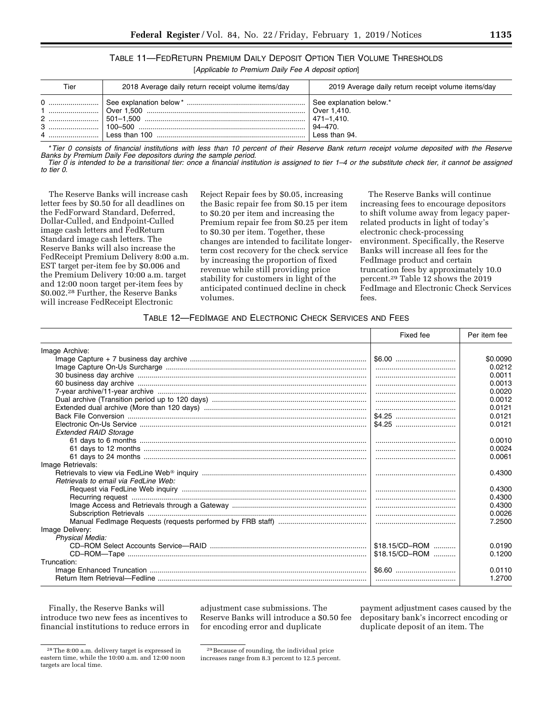| TABLE 11-FEDRETURN PREMIUM DAILY DEPOSIT OPTION TIER VOLUME THRESHOLDS |                                                    |  |  |
|------------------------------------------------------------------------|----------------------------------------------------|--|--|
|                                                                        | [Applicable to Premium Daily Fee A deposit option] |  |  |

| Tier | 2018 Average daily return receipt volume items/day    | 2019 Average daily return receipt volume items/day      |
|------|-------------------------------------------------------|---------------------------------------------------------|
|      | l 501–1.500 …………………………………………………………………………   471–1.410. | See explanation below.*<br>$94 - 470.$<br>Less than 94. |

*\* Tier 0 consists of financial institutions with less than 10 percent of their Reserve Bank return receipt volume deposited with the Reserve Banks by Premium Daily Fee depositors during the sample period.* 

*Tier 0 is intended to be a transitional tier: once a financial institution is assigned to tier 1–4 or the substitute check tier, it cannot be assigned to tier 0.* 

The Reserve Banks will increase cash letter fees by \$0.50 for all deadlines on the FedForward Standard, Deferred, Dollar-Culled, and Endpoint-Culled image cash letters and FedReturn Standard image cash letters. The Reserve Banks will also increase the FedReceipt Premium Delivery 8:00 a.m. EST target per-item fee by \$0.006 and the Premium Delivery 10:00 a.m. target and 12:00 noon target per-item fees by \$0.002.28 Further, the Reserve Banks will increase FedReceipt Electronic

Reject Repair fees by \$0.05, increasing the Basic repair fee from \$0.15 per item to \$0.20 per item and increasing the Premium repair fee from \$0.25 per item to \$0.30 per item. Together, these changes are intended to facilitate longerterm cost recovery for the check service by increasing the proportion of fixed revenue while still providing price stability for customers in light of the anticipated continued decline in check volumes.

The Reserve Banks will continue increasing fees to encourage depositors to shift volume away from legacy paperrelated products in light of today's electronic check-processing environment. Specifically, the Reserve Banks will increase all fees for the FedImage product and certain truncation fees by approximately 10.0 percent.29 Table 12 shows the 2019 FedImage and Electronic Check Services fees.

## TABLE 12—FEDIMAGE AND ELECTRONIC CHECK SERVICES AND FEES

|                                      | Fixed fee      | Per item fee |
|--------------------------------------|----------------|--------------|
| Image Archive:                       |                |              |
|                                      |                | \$0.0090     |
|                                      |                | 0.0212       |
|                                      |                | 0.0011       |
|                                      |                | 0.0013       |
|                                      |                | 0.0020       |
|                                      |                | 0.0012       |
|                                      |                | 0.0121       |
|                                      |                | 0.0121       |
|                                      |                | 0.0121       |
| <b>Extended RAID Storage</b>         |                |              |
|                                      |                | 0.0010       |
|                                      |                | 0.0024       |
|                                      |                | 0.0061       |
| Image Retrievals:                    |                |              |
|                                      |                | 0.4300       |
| Retrievals to email via FedLine Web: |                |              |
|                                      |                | 0.4300       |
|                                      |                | 0.4300       |
|                                      |                | 0.4300       |
|                                      |                | 0.0026       |
|                                      |                | 7.2500       |
| Image Delivery:                      |                |              |
| <b>Physical Media:</b>               |                |              |
|                                      | \$18.15/CD-ROM | 0.0190       |
|                                      | \$18.15/CD-ROM | 0.1200       |
| Truncation:                          |                |              |
|                                      |                | 0.0110       |
|                                      |                | 1.2700       |

Finally, the Reserve Banks will introduce two new fees as incentives to financial institutions to reduce errors in

28The 8:00 a.m. delivery target is expressed in eastern time, while the 10:00 a.m. and 12:00 noon targets are local time.

adjustment case submissions. The Reserve Banks will introduce a \$0.50 fee for encoding error and duplicate

payment adjustment cases caused by the depositary bank's incorrect encoding or duplicate deposit of an item. The

<sup>29</sup>Because of rounding, the individual price increases range from 8.3 percent to 12.5 percent.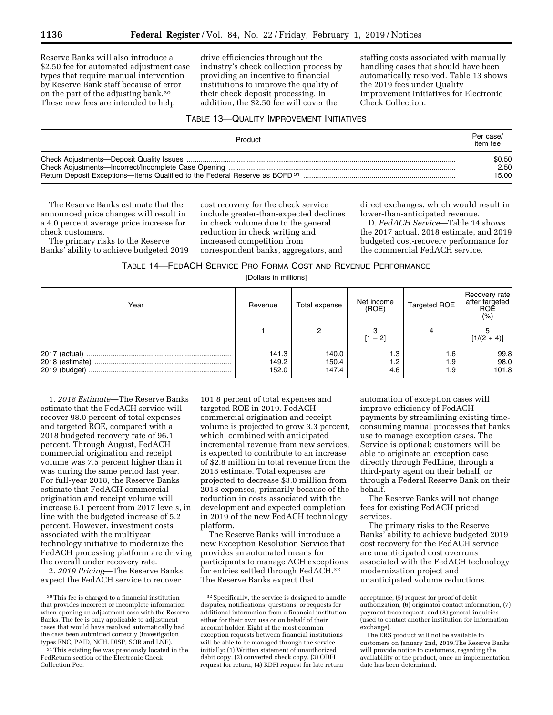Reserve Banks will also introduce a \$2.50 fee for automated adjustment case types that require manual intervention by Reserve Bank staff because of error on the part of the adjusting bank.30 These new fees are intended to help

drive efficiencies throughout the industry's check collection process by providing an incentive to financial institutions to improve the quality of their check deposit processing. In addition, the \$2.50 fee will cover the

staffing costs associated with manually handling cases that should have been automatically resolved. Table 13 shows the 2019 fees under Quality Improvement Initiatives for Electronic Check Collection.

## TABLE 13—QUALITY IMPROVEMENT INITIATIVES

| Product | Per case/<br>item fee |
|---------|-----------------------|
|         | \$0.50                |
|         | 2.50                  |
|         | 15.00                 |

The Reserve Banks estimate that the announced price changes will result in a 4.0 percent average price increase for check customers.

The primary risks to the Reserve Banks' ability to achieve budgeted 2019

cost recovery for the check service include greater-than-expected declines in check volume due to the general reduction in check writing and increased competition from correspondent banks, aggregators, and

direct exchanges, which would result in lower-than-anticipated revenue.

D. *FedACH Service*—Table 14 shows the 2017 actual, 2018 estimate, and 2019 budgeted cost-recovery performance for the commercial FedACH service.

| TABLE 14—FEDACH SERVICE PRO FORMA COST AND REVENUE PERFORMANCE |  |
|----------------------------------------------------------------|--|
|----------------------------------------------------------------|--|

[Dollars in millions]

| Year                             | Revenue                 | Total expense           | Net income<br>(ROE)  | <b>Targeted ROE</b> | Recovery rate<br>after targeted<br>ROE<br>(% ) |
|----------------------------------|-------------------------|-------------------------|----------------------|---------------------|------------------------------------------------|
|                                  |                         |                         | [1 – 2]              |                     | $[1/(2 + 4)]$                                  |
| 2018 (estimate)<br>2019 (budget) | 141.3<br>149.2<br>152.0 | 140.0<br>150.4<br>147.4 | 1.3<br>$-1.2$<br>4.6 | 6.،<br>1.9<br>1.9   | 99.8<br>98.0<br>101.8                          |

1. *2018 Estimate*—The Reserve Banks estimate that the FedACH service will recover 98.0 percent of total expenses and targeted ROE, compared with a 2018 budgeted recovery rate of 96.1 percent. Through August, FedACH commercial origination and receipt volume was 7.5 percent higher than it was during the same period last year. For full-year 2018, the Reserve Banks estimate that FedACH commercial origination and receipt volume will increase 6.1 percent from 2017 levels, in line with the budgeted increase of 5.2 percent. However, investment costs associated with the multiyear technology initiative to modernize the FedACH processing platform are driving the overall under recovery rate.

2. *2019 Pricing*—The Reserve Banks expect the FedACH service to recover

101.8 percent of total expenses and targeted ROE in 2019. FedACH commercial origination and receipt volume is projected to grow 3.3 percent, which, combined with anticipated incremental revenue from new services, is expected to contribute to an increase of \$2.8 million in total revenue from the 2018 estimate. Total expenses are projected to decrease \$3.0 million from 2018 expenses, primarily because of the reduction in costs associated with the development and expected completion in 2019 of the new FedACH technology platform.

The Reserve Banks will introduce a new Exception Resolution Service that provides an automated means for participants to manage ACH exceptions for entries settled through FedACH.32 The Reserve Banks expect that

automation of exception cases will improve efficiency of FedACH payments by streamlining existing timeconsuming manual processes that banks use to manage exception cases. The Service is optional; customers will be able to originate an exception case directly through FedLine, through a third-party agent on their behalf, or through a Federal Reserve Bank on their behalf.

The Reserve Banks will not change fees for existing FedACH priced services.

The primary risks to the Reserve Banks' ability to achieve budgeted 2019 cost recovery for the FedACH service are unanticipated cost overruns associated with the FedACH technology modernization project and unanticipated volume reductions.

<sup>30</sup>This fee is charged to a financial institution that provides incorrect or incomplete information when opening an adjustment case with the Reserve Banks. The fee is only applicable to adjustment cases that would have resolved automatically had the case been submitted correctly (investigation types ENC, PAID, NCH, DISP, SOR and LNE).

<sup>31</sup>This existing fee was previously located in the FedReturn section of the Electronic Check Collection Fee.

<sup>32</sup>Specifically, the service is designed to handle disputes, notifications, questions, or requests for additional information from a financial institution either for their own use or on behalf of their account holder. Eight of the most common exception requests between financial institutions will be able to be managed through the service initially: (1) Written statement of unauthorized debit copy, (2) converted check copy, (3) ODFI request for return, (4) RDFI request for late return

acceptance, (5) request for proof of debit authorization, (6) originator contact information, (7) payment trace request, and (8) general inquiries (used to contact another institution for information exchange).

The ERS product will not be available to customers on January 2nd, 2019.The Reserve Banks will provide notice to customers, regarding the availability of the product, once an implementation date has been determined.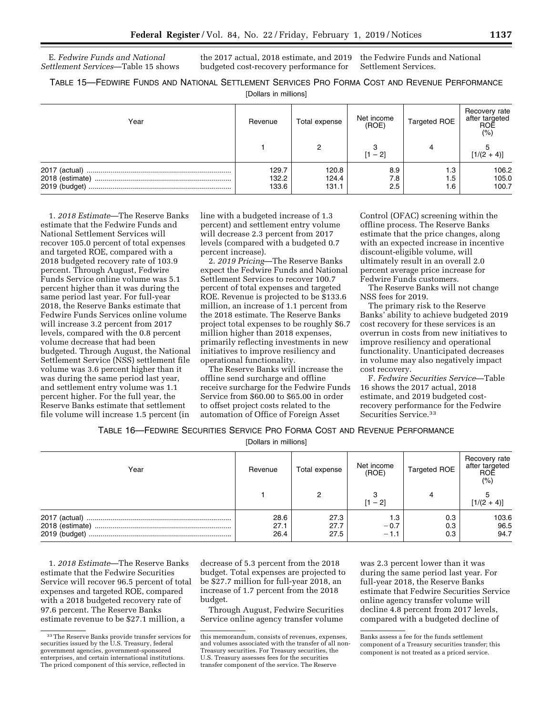E. *Fedwire Funds and National Settlement Services*—Table 15 shows the 2017 actual, 2018 estimate, and 2019 budgeted cost-recovery performance for

the Fedwire Funds and National Settlement Services.

TABLE 15—FEDWIRE FUNDS AND NATIONAL SETTLEMENT SERVICES PRO FORMA COST AND REVENUE PERFORMANCE [Dollars in millions]

| Year                             | Revenue                 | Total expense           | Net income<br>(ROE) | <b>Targeted ROE</b> | Recovery rate<br>after targeted<br>ROE<br>(%) |
|----------------------------------|-------------------------|-------------------------|---------------------|---------------------|-----------------------------------------------|
|                                  |                         |                         | [1 – 2]             |                     | $[1/(2 + 4)]$                                 |
| 2018 (estimate)<br>2019 (budget) | 129.7<br>132.2<br>133.6 | 120.8<br>124.4<br>131.1 | 8.9<br>7.8<br>2.5   | 1.3<br>1.5<br>1.6   | 106.2<br>105.0<br>100.7                       |

1. *2018 Estimate*—The Reserve Banks estimate that the Fedwire Funds and National Settlement Services will recover 105.0 percent of total expenses and targeted ROE, compared with a 2018 budgeted recovery rate of 103.9 percent. Through August, Fedwire Funds Service online volume was 5.1 percent higher than it was during the same period last year. For full-year 2018, the Reserve Banks estimate that Fedwire Funds Services online volume will increase 3.2 percent from 2017 levels, compared with the 0.8 percent volume decrease that had been budgeted. Through August, the National Settlement Service (NSS) settlement file volume was 3.6 percent higher than it was during the same period last year, and settlement entry volume was 1.1 percent higher. For the full year, the Reserve Banks estimate that settlement file volume will increase 1.5 percent (in

line with a budgeted increase of 1.3 percent) and settlement entry volume will decrease 2.3 percent from 2017 levels (compared with a budgeted 0.7 percent increase).

2. *2019 Pricing*—The Reserve Banks expect the Fedwire Funds and National Settlement Services to recover 100.7 percent of total expenses and targeted ROE. Revenue is projected to be \$133.6 million, an increase of 1.1 percent from the 2018 estimate. The Reserve Banks project total expenses to be roughly \$6.7 million higher than 2018 expenses, primarily reflecting investments in new initiatives to improve resiliency and operational functionality.

The Reserve Banks will increase the offline send surcharge and offline receive surcharge for the Fedwire Funds Service from \$60.00 to \$65.00 in order to offset project costs related to the automation of Office of Foreign Asset

Control (OFAC) screening within the offline process. The Reserve Banks estimate that the price changes, along with an expected increase in incentive discount-eligible volume, will ultimately result in an overall 2.0 percent average price increase for Fedwire Funds customers.

The Reserve Banks will not change NSS fees for 2019.

The primary risk to the Reserve Banks' ability to achieve budgeted 2019 cost recovery for these services is an overrun in costs from new initiatives to improve resiliency and operational functionality. Unanticipated decreases in volume may also negatively impact cost recovery.

F. *Fedwire Securities Service*—Table 16 shows the 2017 actual, 2018 estimate, and 2019 budgeted costrecovery performance for the Fedwire Securities Service.33

TABLE 16—FEDWIRE SECURITIES SERVICE PRO FORMA COST AND REVENUE PERFORMANCE

[Dollars in millions]

| Year          | Revenue              | Total expense        | Net income<br>(ROE)     | Targeted ROE      | Recovery rate<br>after targeted<br>ROE<br>(% ) |
|---------------|----------------------|----------------------|-------------------------|-------------------|------------------------------------------------|
|               |                      |                      | $[1 - 2]$               |                   | $[1/(2 + 4)]$                                  |
| 2019 (budget) | 28.6<br>27.1<br>26.4 | 27.3<br>27.7<br>27.5 | 1.3<br>$-0.7$<br>$-1.1$ | 0.3<br>0.3<br>0.3 | 103.6<br>96.5<br>94.7                          |

1. *2018 Estimate*—The Reserve Banks estimate that the Fedwire Securities Service will recover 96.5 percent of total expenses and targeted ROE, compared with a 2018 budgeted recovery rate of 97.6 percent. The Reserve Banks estimate revenue to be \$27.1 million, a

decrease of 5.3 percent from the 2018 budget. Total expenses are projected to be \$27.7 million for full-year 2018, an increase of 1.7 percent from the 2018 budget.

Through August, Fedwire Securities Service online agency transfer volume

was 2.3 percent lower than it was during the same period last year. For full-year 2018, the Reserve Banks estimate that Fedwire Securities Service online agency transfer volume will decline 4.8 percent from 2017 levels, compared with a budgeted decline of

<sup>33</sup>The Reserve Banks provide transfer services for securities issued by the U.S. Treasury, federal government agencies, government-sponsored enterprises, and certain international institutions. The priced component of this service, reflected in

this memorandum, consists of revenues, expenses, and volumes associated with the transfer of all non-Treasury securities. For Treasury securities, the U.S. Treasury assesses fees for the securities transfer component of the service. The Reserve

Banks assess a fee for the funds settlement component of a Treasury securities transfer; this component is not treated as a priced service.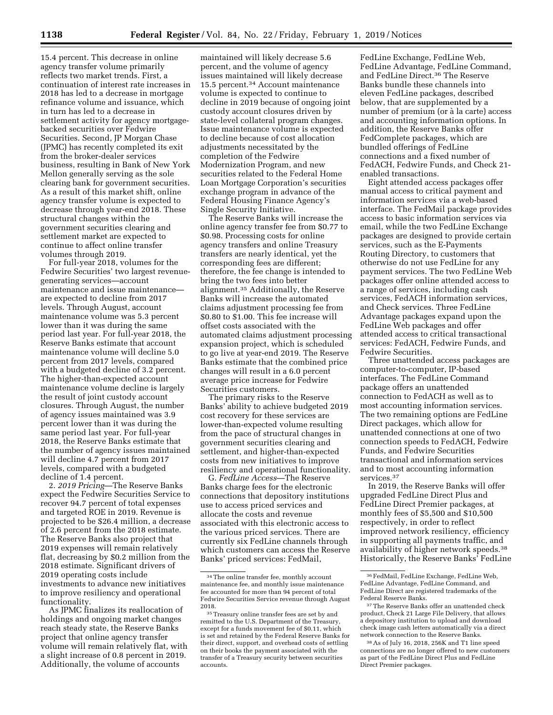15.4 percent. This decrease in online agency transfer volume primarily reflects two market trends. First, a continuation of interest rate increases in 2018 has led to a decrease in mortgage refinance volume and issuance, which in turn has led to a decrease in settlement activity for agency mortgagebacked securities over Fedwire Securities. Second, JP Morgan Chase (JPMC) has recently completed its exit from the broker-dealer services business, resulting in Bank of New York Mellon generally serving as the sole clearing bank for government securities. As a result of this market shift, online agency transfer volume is expected to decrease through year-end 2018. These structural changes within the government securities clearing and settlement market are expected to continue to affect online transfer volumes through 2019.

For full-year 2018, volumes for the Fedwire Securities' two largest revenuegenerating services—account maintenance and issue maintenance are expected to decline from 2017 levels. Through August, account maintenance volume was 5.3 percent lower than it was during the same period last year. For full-year 2018, the Reserve Banks estimate that account maintenance volume will decline 5.0 percent from 2017 levels, compared with a budgeted decline of 3.2 percent. The higher-than-expected account maintenance volume decline is largely the result of joint custody account closures. Through August, the number of agency issues maintained was 3.9 percent lower than it was during the same period last year. For full-year 2018, the Reserve Banks estimate that the number of agency issues maintained will decline 4.7 percent from 2017 levels, compared with a budgeted decline of 1.4 percent.

2. *2019 Pricing*—The Reserve Banks expect the Fedwire Securities Service to recover 94.7 percent of total expenses and targeted ROE in 2019. Revenue is projected to be \$26.4 million, a decrease of 2.6 percent from the 2018 estimate. The Reserve Banks also project that 2019 expenses will remain relatively flat, decreasing by \$0.2 million from the 2018 estimate. Significant drivers of 2019 operating costs include investments to advance new initiatives to improve resiliency and operational functionality.

As JPMC finalizes its reallocation of holdings and ongoing market changes reach steady state, the Reserve Banks project that online agency transfer volume will remain relatively flat, with a slight increase of 0.8 percent in 2019. Additionally, the volume of accounts

maintained will likely decrease 5.6 percent, and the volume of agency issues maintained will likely decrease 15.5 percent.34 Account maintenance volume is expected to continue to decline in 2019 because of ongoing joint custody account closures driven by state-level collateral program changes. Issue maintenance volume is expected to decline because of cost allocation adjustments necessitated by the completion of the Fedwire Modernization Program, and new securities related to the Federal Home Loan Mortgage Corporation's securities exchange program in advance of the Federal Housing Finance Agency's Single Security Initiative.

The Reserve Banks will increase the online agency transfer fee from \$0.77 to \$0.98. Processing costs for online agency transfers and online Treasury transfers are nearly identical, yet the corresponding fees are different; therefore, the fee change is intended to bring the two fees into better alignment.35 Additionally, the Reserve Banks will increase the automated claims adjustment processing fee from \$0.80 to \$1.00. This fee increase will offset costs associated with the automated claims adjustment processing expansion project, which is scheduled to go live at year-end 2019. The Reserve Banks estimate that the combined price changes will result in a 6.0 percent average price increase for Fedwire Securities customers.

The primary risks to the Reserve Banks' ability to achieve budgeted 2019 cost recovery for these services are lower-than-expected volume resulting from the pace of structural changes in government securities clearing and settlement, and higher-than-expected costs from new initiatives to improve resiliency and operational functionality.

G. *FedLine Access*—The Reserve Banks charge fees for the electronic connections that depository institutions use to access priced services and allocate the costs and revenue associated with this electronic access to the various priced services. There are currently six FedLine channels through which customers can access the Reserve Banks' priced services: FedMail,

FedLine Exchange, FedLine Web, FedLine Advantage, FedLine Command, and FedLine Direct.36 The Reserve Banks bundle these channels into eleven FedLine packages, described below, that are supplemented by a number of premium (or à la carte) access and accounting information options. In addition, the Reserve Banks offer FedComplete packages, which are bundled offerings of FedLine connections and a fixed number of FedACH, Fedwire Funds, and Check 21 enabled transactions.

Eight attended access packages offer manual access to critical payment and information services via a web-based interface. The FedMail package provides access to basic information services via email, while the two FedLine Exchange packages are designed to provide certain services, such as the E-Payments Routing Directory, to customers that otherwise do not use FedLine for any payment services. The two FedLine Web packages offer online attended access to a range of services, including cash services, FedACH information services, and Check services. Three FedLine Advantage packages expand upon the FedLine Web packages and offer attended access to critical transactional services: FedACH, Fedwire Funds, and Fedwire Securities.

Three unattended access packages are computer-to-computer, IP-based interfaces. The FedLine Command package offers an unattended connection to FedACH as well as to most accounting information services. The two remaining options are FedLine Direct packages, which allow for unattended connections at one of two connection speeds to FedACH, Fedwire Funds, and Fedwire Securities transactional and information services and to most accounting information services.<sup>37</sup>

In 2019, the Reserve Banks will offer upgraded FedLine Direct Plus and FedLine Direct Premier packages, at monthly fees of \$5,500 and \$10,500 respectively, in order to reflect improved network resiliency, efficiency in supporting all payments traffic, and availability of higher network speeds.38 Historically, the Reserve Banks' FedLine

38As of July 16, 2018, 256K and T1 line speed connections are no longer offered to new customers as part of the FedLine Direct Plus and FedLine Direct Premier packages.

<sup>34</sup>The online transfer fee, monthly account maintenance fee, and monthly issue maintenance fee accounted for more than 94 percent of total Fedwire Securities Service revenue through August 2018.

<sup>&</sup>lt;sup>35</sup> Treasury online transfer fees are set by and remitted to the U.S. Department of the Treasury, except for a funds movement fee of \$0.11, which is set and retained by the Federal Reserve Banks for their direct, support, and overhead costs of settling on their books the payment associated with the transfer of a Treasury security between securities accounts.

<sup>36</sup>FedMail, FedLine Exchange, FedLine Web, FedLine Advantage, FedLine Command, and FedLine Direct are registered trademarks of the Federal Reserve Banks.

<sup>37</sup>The Reserve Banks offer an unattended check product, Check 21 Large File Delivery, that allows a depository institution to upload and download check image cash letters automatically via a direct network connection to the Reserve Banks.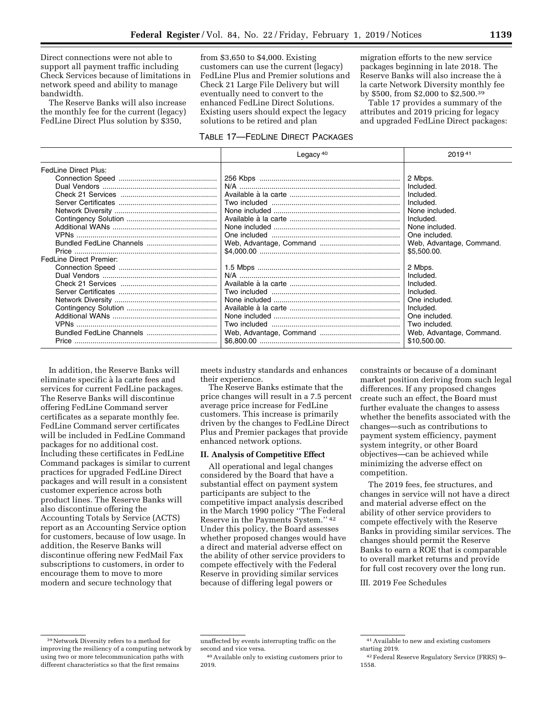Direct connections were not able to support all payment traffic including Check Services because of limitations in network speed and ability to manage bandwidth.

The Reserve Banks will also increase the monthly fee for the current (legacy) FedLine Direct Plus solution by \$350,

from \$3,650 to \$4,000. Existing customers can use the current (legacy) FedLine Plus and Premier solutions and Check 21 Large File Delivery but will eventually need to convert to the enhanced FedLine Direct Solutions. Existing users should expect the legacy solutions to be retired and plan

migration efforts to the new service packages beginning in late 2018. The Reserve Banks will also increase the a` la carte Network Diversity monthly fee by \$500, from \$2,000 to \$2,500.39

Table 17 provides a summary of the attributes and 2019 pricing for legacy and upgraded FedLine Direct packages:

# TABLE 17—FEDLINE DIRECT PACKAGES

|                                | Legacy $40$ | 201941                                                                                                                                                     |
|--------------------------------|-------------|------------------------------------------------------------------------------------------------------------------------------------------------------------|
| <b>FedLine Direct Plus:</b>    |             | 2 Mbps.<br>Included.<br>Included.                                                                                                                          |
|                                |             | Included.<br>None included.<br>Included.<br>None included.<br>One included.<br>Web, Advantage, Command.<br>\$5,500.00.                                     |
| <b>FedLine Direct Premier:</b> |             | 2 Mbps.<br>Included.<br>Included.<br>Included.<br>One included.<br>Included.<br>One included.<br>Two included.<br>Web, Advantage, Command.<br>\$10,500.00. |

In addition, the Reserve Banks will eliminate specific a` la carte fees and services for current FedLine packages. The Reserve Banks will discontinue offering FedLine Command server certificates as a separate monthly fee. FedLine Command server certificates will be included in FedLine Command packages for no additional cost. Including these certificates in FedLine Command packages is similar to current practices for upgraded FedLine Direct packages and will result in a consistent customer experience across both product lines. The Reserve Banks will also discontinue offering the Accounting Totals by Service (ACTS) report as an Accounting Service option for customers, because of low usage. In addition, the Reserve Banks will discontinue offering new FedMail Fax subscriptions to customers, in order to encourage them to move to more modern and secure technology that

meets industry standards and enhances their experience.

The Reserve Banks estimate that the price changes will result in a 7.5 percent average price increase for FedLine customers. This increase is primarily driven by the changes to FedLine Direct Plus and Premier packages that provide enhanced network options.

#### **II. Analysis of Competitive Effect**

All operational and legal changes considered by the Board that have a substantial effect on payment system participants are subject to the competitive impact analysis described in the March 1990 policy ''The Federal Reserve in the Payments System.'' 42 Under this policy, the Board assesses whether proposed changes would have a direct and material adverse effect on the ability of other service providers to compete effectively with the Federal Reserve in providing similar services because of differing legal powers or

constraints or because of a dominant market position deriving from such legal differences. If any proposed changes create such an effect, the Board must further evaluate the changes to assess whether the benefits associated with the changes—such as contributions to payment system efficiency, payment system integrity, or other Board objectives—can be achieved while minimizing the adverse effect on competition.

The 2019 fees, fee structures, and changes in service will not have a direct and material adverse effect on the ability of other service providers to compete effectively with the Reserve Banks in providing similar services. The changes should permit the Reserve Banks to earn a ROE that is comparable to overall market returns and provide for full cost recovery over the long run.

III. 2019 Fee Schedules

<sup>39</sup>Network Diversity refers to a method for improving the resiliency of a computing network by using two or more telecommunication paths with different characteristics so that the first remains

unaffected by events interrupting traffic on the second and vice versa.

<sup>40</sup>Available only to existing customers prior to 2019.

<sup>41</sup>Available to new and existing customers starting 2019.

<sup>42</sup>Federal Reserve Regulatory Service (FRRS) 9– 1558.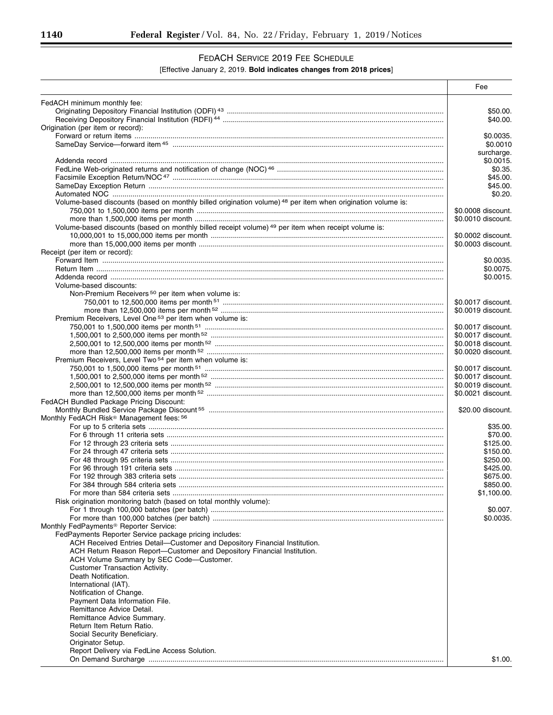-

# FEDACH SERVICE 2019 FEE SCHEDULE

## [Effective January 2, 2019. **Bold indicates changes from 2018 prices**]

|                                                                                                                        | Fee                    |
|------------------------------------------------------------------------------------------------------------------------|------------------------|
| FedACH minimum monthly fee:                                                                                            |                        |
|                                                                                                                        | \$50.00.               |
|                                                                                                                        | \$40.00.               |
| Origination (per item or record):                                                                                      |                        |
|                                                                                                                        | \$0.0035.<br>\$0.0010  |
|                                                                                                                        | surcharge.             |
|                                                                                                                        | \$0.0015.              |
|                                                                                                                        | \$0.35.                |
|                                                                                                                        | \$45.00.               |
|                                                                                                                        | \$45.00.<br>\$0.20.    |
| Volume-based discounts (based on monthly billed origination volume) <sup>48</sup> per item when origination volume is: |                        |
|                                                                                                                        | \$0,0008 discount.     |
|                                                                                                                        | \$0.0010 discount.     |
| Volume-based discounts (based on monthly billed receipt volume) 49 per item when receipt volume is:                    |                        |
|                                                                                                                        | \$0.0002 discount.     |
| Receipt (per item or record):                                                                                          | \$0.0003 discount.     |
|                                                                                                                        | \$0.0035.              |
|                                                                                                                        | \$0.0075.              |
|                                                                                                                        | \$0.0015.              |
| Volume-based discounts:                                                                                                |                        |
| Non-Premium Receivers <sup>50</sup> per item when volume is:                                                           | \$0.0017 discount.     |
|                                                                                                                        | \$0.0019 discount.     |
| Premium Receivers, Level One 53 per item when volume is:                                                               |                        |
|                                                                                                                        | \$0.0017 discount.     |
|                                                                                                                        | \$0.0017 discount.     |
|                                                                                                                        | \$0.0018 discount.     |
| Premium Receivers, Level Two <sup>54</sup> per item when volume is:                                                    | \$0.0020 discount.     |
|                                                                                                                        | \$0.0017 discount.     |
|                                                                                                                        | \$0.0017 discount.     |
|                                                                                                                        | \$0.0019 discount.     |
|                                                                                                                        | \$0.0021 discount.     |
| FedACH Bundled Package Pricing Discount:                                                                               | \$20.00 discount.      |
| Monthly FedACH Risk <sup>®</sup> Management fees: 56                                                                   |                        |
|                                                                                                                        | \$35.00.               |
|                                                                                                                        | \$70.00.               |
|                                                                                                                        | \$125.00.              |
|                                                                                                                        | \$150.00.<br>\$250.00. |
|                                                                                                                        | \$425.00.              |
|                                                                                                                        | \$675.00               |
|                                                                                                                        | \$850.00.              |
|                                                                                                                        | \$1,100.00.            |
| Risk origination monitoring batch (based on total monthly volume):                                                     |                        |
|                                                                                                                        | \$0.007.<br>\$0.0035.  |
| Monthly FedPayments <sup>®</sup> Reporter Service:                                                                     |                        |
| FedPayments Reporter Service package pricing includes:                                                                 |                        |
| ACH Received Entries Detail-Customer and Depository Financial Institution.                                             |                        |
| ACH Return Reason Report-Customer and Depository Financial Institution.                                                |                        |
| ACH Volume Summary by SEC Code-Customer.<br><b>Customer Transaction Activity.</b>                                      |                        |
| Death Notification.                                                                                                    |                        |
| International (IAT).                                                                                                   |                        |
| Notification of Change.                                                                                                |                        |
| Payment Data Information File.                                                                                         |                        |
| Remittance Advice Detail.                                                                                              |                        |
| Remittance Advice Summary.<br>Return Item Return Ratio.                                                                |                        |
| Social Security Beneficiary.                                                                                           |                        |
| Originator Setup.                                                                                                      |                        |
| Report Delivery via FedLine Access Solution.                                                                           |                        |
|                                                                                                                        | \$1.00.                |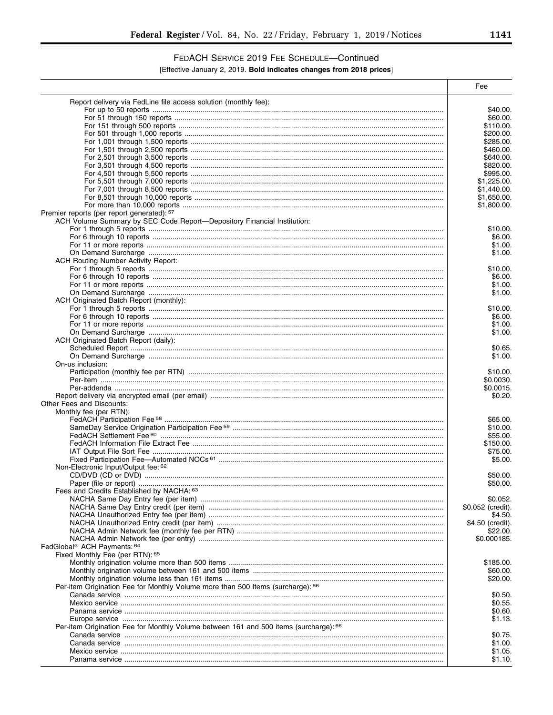۰

# FEDACH SERVICE 2019 FEE SCHEDULE-Continued

## [Effective January 2, 2019. Bold indicates changes from 2018 prices]

|                                                                                       | Fee                           |
|---------------------------------------------------------------------------------------|-------------------------------|
| Report delivery via FedLine file access solution (monthly fee):                       |                               |
|                                                                                       | \$40.00.                      |
|                                                                                       | \$60.00.                      |
|                                                                                       | \$110.00.                     |
|                                                                                       | \$200.00.                     |
|                                                                                       | \$285.00.                     |
|                                                                                       | \$460.00.                     |
|                                                                                       | \$640.00.                     |
|                                                                                       | \$820.00.<br>\$995.00.        |
|                                                                                       | \$1,225.00.                   |
|                                                                                       | \$1,440.00.                   |
|                                                                                       | \$1,650.00.                   |
|                                                                                       | \$1,800.00.                   |
| Premier reports (per report generated): 57                                            |                               |
| ACH Volume Summary by SEC Code Report-Depository Financial Institution:               |                               |
|                                                                                       | \$10.00.                      |
|                                                                                       | \$6.00.                       |
|                                                                                       | \$1.00.                       |
|                                                                                       | \$1.00.                       |
| <b>ACH Routing Number Activity Report:</b>                                            |                               |
|                                                                                       | \$10.00.<br>\$6.00.           |
|                                                                                       | \$1.00.                       |
|                                                                                       | \$1.00.                       |
| ACH Originated Batch Report (monthly):                                                |                               |
|                                                                                       | \$10.00.                      |
|                                                                                       | \$6.00.                       |
|                                                                                       | \$1.00.                       |
|                                                                                       | \$1.00.                       |
| ACH Originated Batch Report (daily):                                                  |                               |
|                                                                                       | \$0.65.                       |
|                                                                                       | \$1.00.                       |
| On-us inclusion:                                                                      |                               |
|                                                                                       | \$10.00.                      |
|                                                                                       | \$0.0030.                     |
|                                                                                       | \$0.0015.<br>\$0.20.          |
| Other Fees and Discounts:                                                             |                               |
| Monthly fee (per RTN):                                                                |                               |
|                                                                                       | \$65.00.                      |
|                                                                                       | \$10.00.                      |
|                                                                                       | \$55.00.                      |
|                                                                                       | \$150.00.                     |
|                                                                                       | \$75.00.                      |
|                                                                                       | \$5.00.                       |
| Non-Electronic Input/Output fee: 62                                                   |                               |
|                                                                                       | \$50.00.                      |
| Fees and Credits Established by NACHA: 63                                             | \$50.00.                      |
|                                                                                       |                               |
|                                                                                       | \$0.052.<br>\$0.052 (credit). |
|                                                                                       | \$4.50.                       |
|                                                                                       | \$4.50 (credit).              |
|                                                                                       | \$22.00.                      |
|                                                                                       | \$0.000185.                   |
| FedGlobal <sup>®</sup> ACH Payments: 64                                               |                               |
| Fixed Monthly Fee (per RTN): 65                                                       |                               |
|                                                                                       | \$185.00.                     |
|                                                                                       | \$60.00.                      |
|                                                                                       | \$20.00.                      |
| Per-item Origination Fee for Monthly Volume more than 500 Items (surcharge): 66       |                               |
|                                                                                       | \$0.50.                       |
|                                                                                       | \$0.55.                       |
|                                                                                       | \$0.60.                       |
|                                                                                       | \$1.13.                       |
| Per-item Origination Fee for Monthly Volume between 161 and 500 items (surcharge): 66 |                               |
|                                                                                       | \$0.75.<br>\$1.00.            |
|                                                                                       | \$1.05.                       |
|                                                                                       | \$1.10.                       |
|                                                                                       |                               |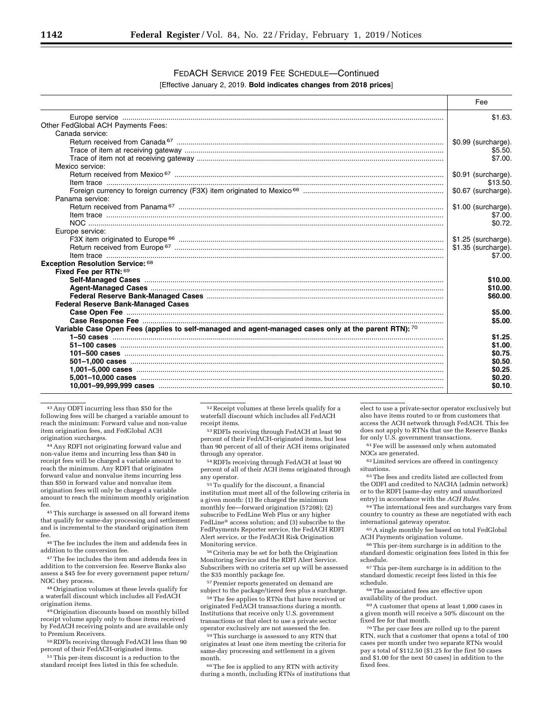## FEDACH SERVICE 2019 FEE SCHEDULE—Continued [Effective January 2, 2019. **Bold indicates changes from 2018 prices**]

|                                                                                                      | Fee                 |
|------------------------------------------------------------------------------------------------------|---------------------|
|                                                                                                      | \$1.63.             |
| Other FedGlobal ACH Payments Fees:                                                                   |                     |
| Canada service:                                                                                      |                     |
|                                                                                                      | \$0.99 (surcharge). |
|                                                                                                      | \$5.50.             |
|                                                                                                      | \$7.00.             |
| Mexico service:                                                                                      |                     |
|                                                                                                      | \$0.91 (surcharge). |
|                                                                                                      | \$13.50.            |
|                                                                                                      | \$0.67 (surcharge). |
| Panama service:                                                                                      |                     |
|                                                                                                      | \$1.00 (surcharge). |
|                                                                                                      | \$7.00.             |
|                                                                                                      | \$0.72              |
| Europe service:                                                                                      |                     |
|                                                                                                      | \$1.25 (surcharge). |
|                                                                                                      | \$1.35 (surcharge). |
|                                                                                                      | \$7.00.             |
| Exception Resolution Service: 68                                                                     |                     |
| Fixed Fee per RTN: 69                                                                                |                     |
|                                                                                                      | \$10.00             |
|                                                                                                      | \$10.00             |
|                                                                                                      | \$60,00             |
| <b>Federal Reserve Bank-Managed Cases</b>                                                            |                     |
|                                                                                                      | \$5.00.             |
|                                                                                                      | \$5.00.             |
| Variable Case Open Fees (applies to self-managed and agent-managed cases only at the parent RTN): 70 |                     |
|                                                                                                      | \$1.25              |
|                                                                                                      | \$1.00.             |
|                                                                                                      | \$0.75              |
|                                                                                                      | \$0.50              |
|                                                                                                      | \$0.25              |
|                                                                                                      | \$0.20              |
|                                                                                                      | \$0.10              |
|                                                                                                      |                     |

43Any ODFI incurring less than \$50 for the following fees will be charged a variable amount to reach the minimum: Forward value and non-value item origination fees, and FedGlobal ACH origination surcharges.

44Any RDFI not originating forward value and non-value items and incurring less than \$40 in receipt fees will be charged a variable amount to reach the minimum. Any RDFI that originates forward value and nonvalue items incurring less than \$50 in forward value and nonvalue item origination fees will only be charged a variable amount to reach the minimum monthly origination fee.

45This surcharge is assessed on all forward items that qualify for same-day processing and settlement and is incremental to the standard origination item fee.

46The fee includes the item and addenda fees in addition to the conversion fee.

<sup>47</sup> The fee includes the item and addenda fees in addition to the conversion fee. Reserve Banks also assess a \$45 fee for every government paper return/ NOC they process.

48Origination volumes at these levels qualify for a waterfall discount which includes all FedACH origination items.

49Origination discounts based on monthly billed receipt volume apply only to those items received by FedACH receiving points and are available only to Premium Receivers.

50RDFIs receiving through FedACH less than 90 percent of their FedACH-originated items.

51This per-item discount is a reduction to the standard receipt fees listed in this fee schedule.

 $^{52}\rm\,Receipt$  volumes at these levels qualify for a waterfall discount which includes all FedACH receipt items.

53RDFIs receiving through FedACH at least 90 percent of their FedACH-originated items, but less than 90 percent of all of their ACH items originated through any operator.

54RDFIs receiving through FedACH at least 90 percent of all of their ACH items originated through any operator.

 $^{55}\mathrm{\,To}$  qualify for the discount, a financial institution must meet all of the following criteria in a given month: (1) Be charged the minimum monthly fee—forward origination (57208); (2) subscribe to FedLine Web Plus or any higher FedLine® access solution; and (3) subscribe to the FedPayments Reporter service, the FedACH RDFI Alert service, or the FedACH Risk Origination Monitoring service.

56Criteria may be set for both the Origination Monitoring Service and the RDFI Alert Service. Subscribers with no criteria set up will be assessed the \$35 monthly package fee.

57Premier reports generated on demand are subject to the package/tiered fees plus a surcharge.

58The fee applies to RTNs that have received or originated FedACH transactions during a month. Institutions that receive only U.S. government transactions or that elect to use a private sector operator exclusively are not assessed the fee.

59This surcharge is assessed to any RTN that originates at least one item meeting the criteria for same-day processing and settlement in a given month.

60The fee is applied to any RTN with activity during a month, including RTNs of institutions that elect to use a private-sector operator exclusively but also have items routed to or from customers that access the ACH network through FedACH. This fee does not apply to RTNs that use the Reserve Banks for only U.S. government transactions.

61Fee will be assessed only when automated NOCs are generated.

62Limited services are offered in contingency situations.

63The fees and credits listed are collected from the ODFI and credited to NACHA (admin network) or to the RDFI (same-day entry and unauthorized entry) in accordance with the *ACH Rules.* 

64The international fees and surcharges vary from country to country as these are negotiated with each international gateway operator.

65A single monthly fee based on total FedGlobal ACH Payments origination volume.

66This per-item surcharge is in addition to the standard domestic origination fees listed in this fee schedule.

 $\,$  67 This per-item surcharge is in addition to the standard domestic receipt fees listed in this fee schedule.

68The associated fees are effective upon availability of the product.

69A customer that opens at least 1,000 cases in a given month will receive a 50% discount on the fixed fee for that month.

70The per case fees are rolled up to the parent RTN, such that a customer that opens a total of 100 cases per month under two separate RTNs would pay a total of \$112.50 (\$1.25 for the first 50 cases and \$1.00 for the next 50 cases) in addition to the fixed fees.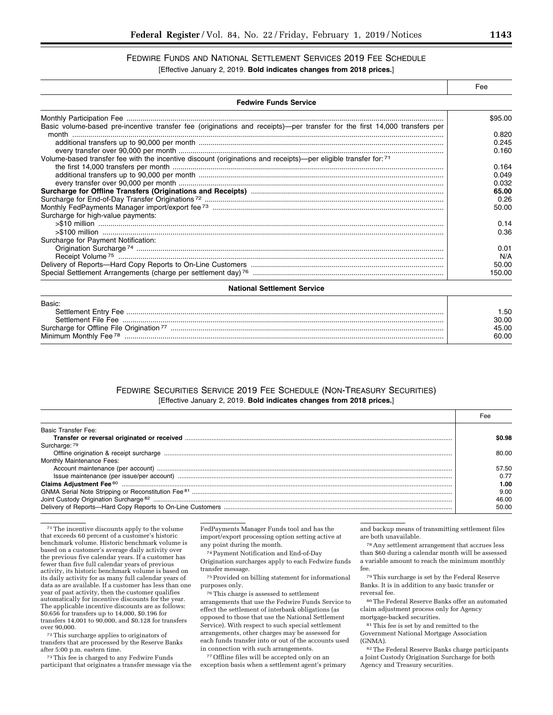# FEDWIRE FUNDS AND NATIONAL SETTLEMENT SERVICES 2019 FEE SCHEDULE

[Effective January 2, 2019. **Bold indicates changes from 2018 prices.**]

|                                                                                                                            | Fee     |  |
|----------------------------------------------------------------------------------------------------------------------------|---------|--|
| <b>Fedwire Funds Service</b>                                                                                               |         |  |
|                                                                                                                            | \$95.00 |  |
| Basic volume-based pre-incentive transfer fee (originations and receipts)—per transfer for the first 14,000 transfers per  |         |  |
|                                                                                                                            | 0.820   |  |
|                                                                                                                            | 0.245   |  |
|                                                                                                                            | 0.160   |  |
| Volume-based transfer fee with the incentive discount (originations and receipts)—per eligible transfer for: <sup>71</sup> |         |  |
|                                                                                                                            | 0.164   |  |
|                                                                                                                            | 0.049   |  |
|                                                                                                                            | 0.032   |  |
|                                                                                                                            | 65.00   |  |
|                                                                                                                            | 0.26    |  |
|                                                                                                                            | 50.00   |  |
| Surcharge for high-value payments:                                                                                         |         |  |
|                                                                                                                            | 0.14    |  |
|                                                                                                                            | 0.36    |  |
| Surcharge for Payment Notification:                                                                                        |         |  |
|                                                                                                                            | 0.01    |  |
|                                                                                                                            | N/A     |  |
|                                                                                                                            | 50.00   |  |
|                                                                                                                            | 150.00  |  |
| <b>National Settlement Service</b>                                                                                         |         |  |

| Basic:                                               |       |
|------------------------------------------------------|-------|
| Settlement Entry Fee                                 | .50   |
| Settlement File Fee                                  | 30.00 |
| Surcharge for Offline File Origination <sup>77</sup> | 45.00 |
| Minimum Monthly Fee <sup>78</sup>                    | 60.00 |

## FEDWIRE SECURITIES SERVICE 2019 FEE SCHEDULE (NON-TREASURY SECURITIES) [Effective January 2, 2019. **Bold indicates changes from 2018 prices.**]

|                                                                                                                                                                                                                                | Fee   |
|--------------------------------------------------------------------------------------------------------------------------------------------------------------------------------------------------------------------------------|-------|
| <b>Basic Transfer Fee:</b>                                                                                                                                                                                                     |       |
|                                                                                                                                                                                                                                | SO 98 |
| Surcharge: 79                                                                                                                                                                                                                  |       |
|                                                                                                                                                                                                                                | 80.00 |
| Monthly Maintenance Fees:                                                                                                                                                                                                      |       |
|                                                                                                                                                                                                                                | 57.50 |
|                                                                                                                                                                                                                                | ი 77  |
|                                                                                                                                                                                                                                | 1.00  |
| GNMA Serial Note Stripping or Reconstitution Fee 81 minimum manufacture and the content of the Stripping or Reconstitution Fee 81 minimum manufacture and the stripping or Reconstitution Fee 81 minimum manufacture and the s | 9.00  |
|                                                                                                                                                                                                                                | 46.00 |
|                                                                                                                                                                                                                                | 50.00 |

71The incentive discounts apply to the volume that exceeds 60 percent of a customer's historic benchmark volume. Historic benchmark volume is based on a customer's average daily activity over the previous five calendar years. If a customer has fewer than five full calendar years of previous activity, its historic benchmark volume is based on its daily activity for as many full calendar years of data as are available. If a customer has less than one year of past activity, then the customer qualifies automatically for incentive discounts for the year. The applicable incentive discounts are as follows: \$0.656 for transfers up to 14,000, \$0.196 for transfers 14,001 to 90,000, and \$0.128 for transfers over 90,000.

72This surcharge applies to originators of transfers that are processed by the Reserve Banks after 5:00 p.m. eastern time.

73This fee is charged to any Fedwire Funds participant that originates a transfer message via the

FedPayments Manager Funds tool and has the import/export processing option setting active at any point during the month.

74Payment Notification and End-of-Day Origination surcharges apply to each Fedwire funds transfer message.

75Provided on billing statement for informational purposes only.

76This charge is assessed to settlement arrangements that use the Fedwire Funds Service to effect the settlement of interbank obligations (as opposed to those that use the National Settlement Service). With respect to such special settlement arrangements, other charges may be assessed for each funds transfer into or out of the accounts used in connection with such arrangements.

77Offline files will be accepted only on an exception basis when a settlement agent's primary

and backup means of transmitting settlement files are both unavailable.

78Any settlement arrangement that accrues less than \$60 during a calendar month will be assessed a variable amount to reach the minimum monthly fee.

79This surcharge is set by the Federal Reserve Banks. It is in addition to any basic transfer or reversal fee.

80The Federal Reserve Banks offer an automated claim adjustment process only for Agency mortgage-backed securities.

81This fee is set by and remitted to the Government National Mortgage Association (GNMA).

82The Federal Reserve Banks charge participants a Joint Custody Origination Surcharge for both Agency and Treasury securities.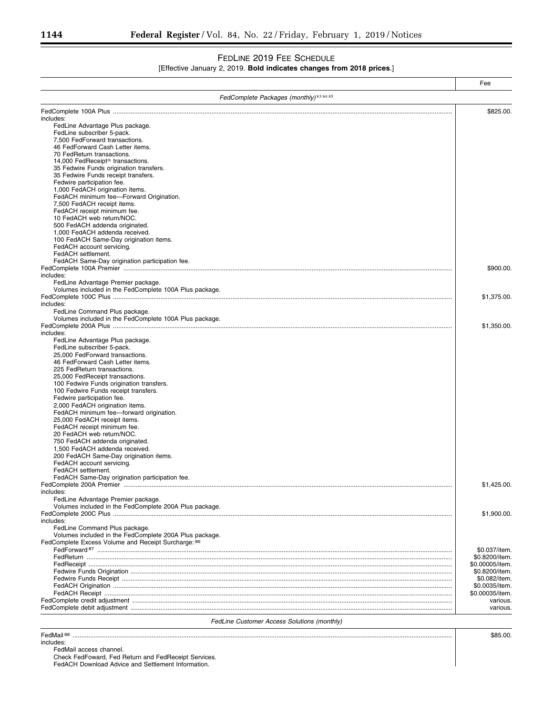## FEDLINE 2019 FEE SCHEDULE

## [Effective January 2, 2019. **Bold indicates changes from 2018 prices**.]

|                                                                                         | Fee             |
|-----------------------------------------------------------------------------------------|-----------------|
| FedComplete Packages (monthly) 83 84 85                                                 |                 |
|                                                                                         | \$825.00.       |
| includes:                                                                               |                 |
| FedLine Advantage Plus package.                                                         |                 |
| FedLine subscriber 5-pack.                                                              |                 |
| 7.500 FedForward transactions.                                                          |                 |
| 46 FedForward Cash Letter items.                                                        |                 |
| 70 FedReturn transactions.                                                              |                 |
| 14,000 FedReceipt <sup>®</sup> transactions.<br>35 Fedwire Funds origination transfers. |                 |
| 35 Fedwire Funds receipt transfers.                                                     |                 |
| Fedwire participation fee.                                                              |                 |
| 1,000 FedACH origination items.                                                         |                 |
| FedACH minimum fee-Forward Origination.                                                 |                 |
| 7,500 FedACH receipt items.                                                             |                 |
| FedACH receipt minimum fee.                                                             |                 |
| 10 FedACH web return/NOC.                                                               |                 |
| 500 FedACH addenda originated.                                                          |                 |
| 1,000 FedACH addenda received.                                                          |                 |
| 100 FedACH Same-Day origination items.                                                  |                 |
| FedACH account servicing.<br>FedACH settlement.                                         |                 |
| FedACH Same-Day origination participation fee.                                          |                 |
|                                                                                         | \$900.00.       |
| includes:                                                                               |                 |
| FedLine Advantage Premier package.                                                      |                 |
| Volumes included in the FedComplete 100A Plus package.                                  |                 |
|                                                                                         | \$1,375.00.     |
| includes:                                                                               |                 |
| FedLine Command Plus package.                                                           |                 |
| Volumes included in the FedComplete 100A Plus package.                                  |                 |
|                                                                                         | \$1,350.00.     |
| includes:                                                                               |                 |
| FedLine Advantage Plus package.                                                         |                 |
| FedLine subscriber 5-pack.                                                              |                 |
| 25,000 FedForward transactions.                                                         |                 |
| 46 FedForward Cash Letter items.<br>225 FedReturn transactions.                         |                 |
| 25,000 FedReceipt transactions.                                                         |                 |
| 100 Fedwire Funds origination transfers.                                                |                 |
| 100 Fedwire Funds receipt transfers.                                                    |                 |
| Fedwire participation fee.                                                              |                 |
| 2,000 FedACH origination items.                                                         |                 |
| FedACH minimum fee-forward origination.                                                 |                 |
| 25,000 FedACH receipt items.                                                            |                 |
| FedACH receipt minimum fee.                                                             |                 |
| 20 FedACH web return/NOC.                                                               |                 |
| 750 FedACH addenda originated.                                                          |                 |
| 1,500 FedACH addenda received.                                                          |                 |
| 200 FedACH Same-Day origination items.                                                  |                 |
| FedACH account servicing.                                                               |                 |
| FedACH settlement.                                                                      |                 |
| FedACH Same-Day origination participation fee.                                          |                 |
|                                                                                         | \$1,425.00      |
| includes:<br>FedLine Advantage Premier package.                                         |                 |
| Volumes included in the FedComplete 200A Plus package.                                  |                 |
|                                                                                         | \$1,900.00.     |
| includes:                                                                               |                 |
| FedLine Command Plus package.                                                           |                 |
| Volumes included in the FedComplete 200A Plus package.                                  |                 |
| FedComplete Excess Volume and Receipt Surcharge: 86                                     |                 |
|                                                                                         | \$0.037/item.   |
|                                                                                         | \$0.8200/item.  |
|                                                                                         | \$0.00005/item. |
|                                                                                         | \$0.8200/item.  |
|                                                                                         | \$0.082/item.   |
|                                                                                         | \$0.0035/item   |
|                                                                                         | \$0.00035/item. |
|                                                                                         | various         |
|                                                                                         | various.        |

*FedLine Customer Access Solutions (monthly)* 

FedMail 88 ........................................................................................................................................................................................................................ \$85.00. includes:

FedMail access channel.

Check FedFoward, Fed Return and FedReceipt Services.

FedACH Download Advice and Settlement Information.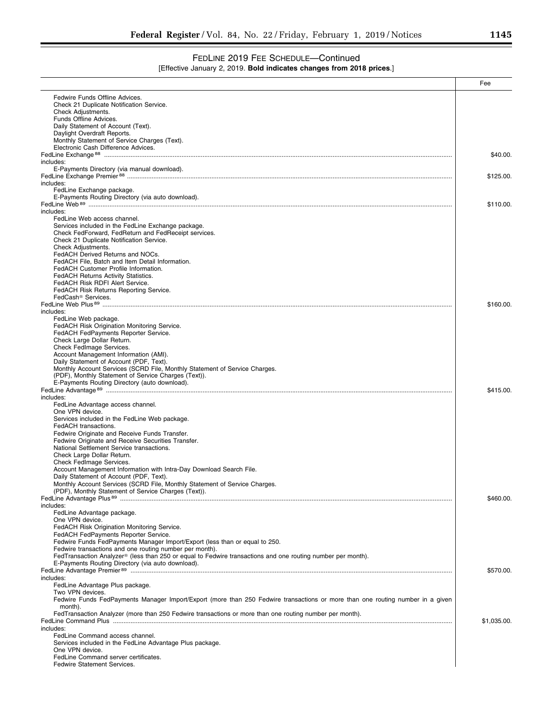# FEDLINE 2019 FEE SCHEDULE—Continued

|  | [Effective January 2, 2019. Bold indicates changes from 2018 prices.] |  |
|--|-----------------------------------------------------------------------|--|
|--|-----------------------------------------------------------------------|--|

|                                                                                                                                                                  | Fee         |
|------------------------------------------------------------------------------------------------------------------------------------------------------------------|-------------|
| Fedwire Funds Offline Advices.                                                                                                                                   |             |
| Check 21 Duplicate Notification Service.                                                                                                                         |             |
| Check Adjustments.<br>Funds Offline Advices.                                                                                                                     |             |
| Daily Statement of Account (Text).                                                                                                                               |             |
| Daylight Overdraft Reports.                                                                                                                                      |             |
| Monthly Statement of Service Charges (Text).<br>Electronic Cash Difference Advices.                                                                              |             |
|                                                                                                                                                                  | \$40.00.    |
| includes:                                                                                                                                                        |             |
| E-Payments Directory (via manual download).                                                                                                                      | \$125.00    |
| includes:                                                                                                                                                        |             |
| FedLine Exchange package.                                                                                                                                        |             |
| E-Payments Routing Directory (via auto download).                                                                                                                | \$110.00    |
| includes:                                                                                                                                                        |             |
| FedLine Web access channel.                                                                                                                                      |             |
| Services included in the FedLine Exchange package.<br>Check FedForward, FedReturn and FedReceipt services.                                                       |             |
| Check 21 Duplicate Notification Service.                                                                                                                         |             |
| Check Adjustments.                                                                                                                                               |             |
| FedACH Derived Returns and NOCs.<br>FedACH File, Batch and Item Detail Information.                                                                              |             |
| FedACH Customer Profile Information.                                                                                                                             |             |
| <b>FedACH Returns Activity Statistics.</b>                                                                                                                       |             |
| FedACH Risk RDFI Alert Service.<br>FedACH Risk Returns Reporting Service.                                                                                        |             |
| FedCash <sup>®</sup> Services.                                                                                                                                   |             |
|                                                                                                                                                                  | \$160.00.   |
| includes:<br>FedLine Web package.                                                                                                                                |             |
| FedACH Risk Origination Monitoring Service.                                                                                                                      |             |
| FedACH FedPayments Reporter Service.                                                                                                                             |             |
| Check Large Dollar Return.<br>Check FedImage Services.                                                                                                           |             |
| Account Management Information (AMI).                                                                                                                            |             |
| Daily Statement of Account (PDF, Text).                                                                                                                          |             |
| Monthly Account Services (SCRD File, Monthly Statement of Service Charges.                                                                                       |             |
| (PDF), Monthly Statement of Service Charges (Text)).<br>E-Payments Routing Directory (auto download).                                                            |             |
|                                                                                                                                                                  | \$415.00.   |
| includes:                                                                                                                                                        |             |
| FedLine Advantage access channel.<br>One VPN device.                                                                                                             |             |
| Services included in the FedLine Web package.                                                                                                                    |             |
| FedACH transactions.                                                                                                                                             |             |
| Fedwire Originate and Receive Funds Transfer.<br>Fedwire Originate and Receive Securities Transfer.                                                              |             |
| National Settlement Service transactions.                                                                                                                        |             |
| Check Large Dollar Return.                                                                                                                                       |             |
| Check FedImage Services.<br>Account Management Information with Intra-Day Download Search File.                                                                  |             |
| Daily Statement of Account (PDF, Text).                                                                                                                          |             |
| Monthly Account Services (SCRD File, Monthly Statement of Service Charges.                                                                                       |             |
| (PDF), Monthly Statement of Service Charges (Text)).                                                                                                             | \$460.00.   |
| includes:                                                                                                                                                        |             |
| FedLine Advantage package.                                                                                                                                       |             |
| One VPN device.                                                                                                                                                  |             |
| FedACH Risk Origination Monitoring Service.<br>FedACH FedPayments Reporter Service.                                                                              |             |
| Fedwire Funds FedPayments Manager Import/Export (less than or equal to 250.                                                                                      |             |
| Fedwire transactions and one routing number per month).                                                                                                          |             |
| FedTransaction Analyzer® (less than 250 or equal to Fedwire transactions and one routing number per month).<br>E-Payments Routing Directory (via auto download). |             |
|                                                                                                                                                                  | \$570.00.   |
| includes:                                                                                                                                                        |             |
| FedLine Advantage Plus package.<br>Two VPN devices.                                                                                                              |             |
| Fedwire Funds FedPayments Manager Import/Export (more than 250 Fedwire transactions or more than one routing number in a given                                   |             |
| month).                                                                                                                                                          |             |
| FedTransaction Analyzer (more than 250 Fedwire transactions or more than one routing number per month).                                                          |             |
| includes:                                                                                                                                                        | \$1,035.00. |
| FedLine Command access channel.                                                                                                                                  |             |
| Services included in the FedLine Advantage Plus package.                                                                                                         |             |
| One VPN device.<br>FedLine Command server certificates.                                                                                                          |             |
| <b>Fedwire Statement Services.</b>                                                                                                                               |             |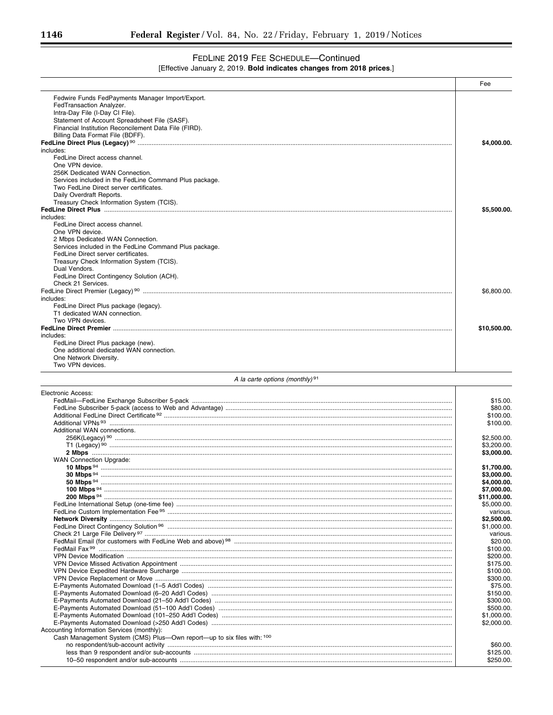## FEDLINE 2019 FEE SCHEDULE-Continued [Effective January 2, 2019. Bold indicates changes from 2018 prices.]

|                                                                                            | Fee                      |
|--------------------------------------------------------------------------------------------|--------------------------|
| Fedwire Funds FedPayments Manager Import/Export.                                           |                          |
| FedTransaction Analyzer.                                                                   |                          |
| Intra-Day File (I-Day CI File).                                                            |                          |
| Statement of Account Spreadsheet File (SASF).                                              |                          |
| Financial Institution Reconcilement Data File (FIRD).<br>Billing Data Format File (BDFF).  |                          |
|                                                                                            | \$4,000.00.              |
| includes:                                                                                  |                          |
| FedLine Direct access channel.                                                             |                          |
| One VPN device.                                                                            |                          |
| 256K Dedicated WAN Connection.                                                             |                          |
| Services included in the FedLine Command Plus package.                                     |                          |
| Two FedLine Direct server certificates.<br>Daily Overdraft Reports.                        |                          |
| Treasury Check Information System (TCIS).                                                  |                          |
|                                                                                            | \$5,500.00.              |
| includes:                                                                                  |                          |
| FedLine Direct access channel.                                                             |                          |
| One VPN device.                                                                            |                          |
| 2 Mbps Dedicated WAN Connection.<br>Services included in the FedLine Command Plus package. |                          |
| FedLine Direct server certificates.                                                        |                          |
| Treasury Check Information System (TCIS).                                                  |                          |
| Dual Vendors.                                                                              |                          |
| FedLine Direct Contingency Solution (ACH).                                                 |                          |
| Check 21 Services.                                                                         |                          |
| includes:                                                                                  | \$6,800.00.              |
| FedLine Direct Plus package (legacy).                                                      |                          |
| T1 dedicated WAN connection.                                                               |                          |
| Two VPN devices.                                                                           |                          |
|                                                                                            | \$10,500.00.             |
| includes:                                                                                  |                          |
| FedLine Direct Plus package (new).<br>One additional dedicated WAN connection.             |                          |
| One Network Diversity.                                                                     |                          |
| Two VPN devices.                                                                           |                          |
| A la carte options (monthly) $91$                                                          |                          |
|                                                                                            |                          |
| <b>Electronic Access:</b>                                                                  |                          |
|                                                                                            | \$15.00.<br>\$80.00.     |
|                                                                                            | \$100.00                 |
|                                                                                            | \$100.00                 |
| Additional WAN connections.                                                                |                          |
|                                                                                            | \$2,500.00               |
|                                                                                            | \$3,200.00               |
| <b>WAN Connection Upgrade:</b>                                                             | \$3,000.00.              |
|                                                                                            | \$1,700.00.              |
|                                                                                            | \$3,000.00.              |
|                                                                                            | \$4,000.00.              |
|                                                                                            | \$7,000.00.              |
|                                                                                            | \$11,000.00.             |
|                                                                                            | \$5,000.00               |
|                                                                                            | various.<br>\$2,500.00.  |
|                                                                                            | \$1,000.00.              |
|                                                                                            | various.                 |
|                                                                                            | \$20.00                  |
|                                                                                            | \$100.00                 |
|                                                                                            | \$200.00                 |
|                                                                                            | \$175.00<br>\$100.00     |
|                                                                                            | \$300.00                 |
|                                                                                            | \$75.00                  |
|                                                                                            | \$150.00                 |
|                                                                                            | \$300.00.                |
|                                                                                            | \$500.00                 |
|                                                                                            | \$1,000.00<br>\$2,000.00 |
| Accounting Information Services (monthly):                                                 |                          |
| Cash Management System (CMS) Plus—Own report—up to six files with: 100                     |                          |
|                                                                                            | \$60.00.                 |
|                                                                                            | \$125.00                 |
|                                                                                            | \$250.00.                |

-